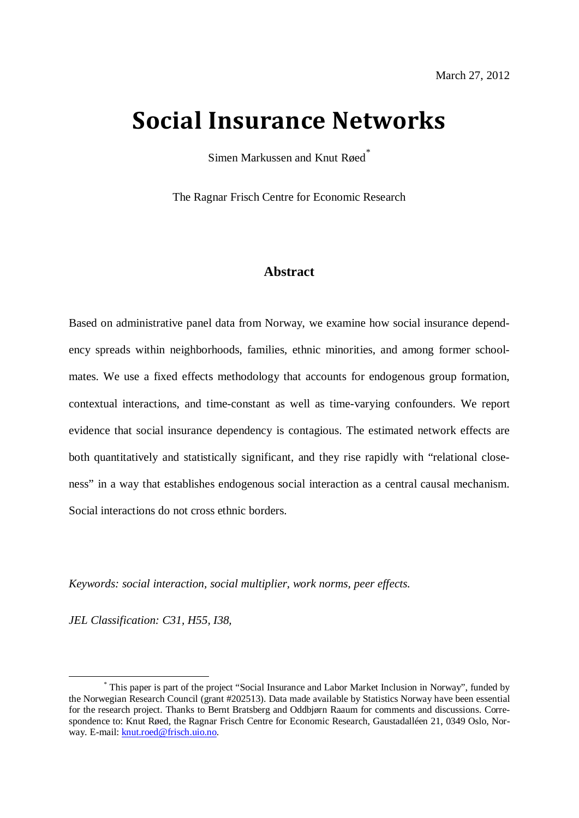# **Social Insurance Networks**

Simen Markussen and Knut Røed<sup>[\\*](#page-0-0)</sup>

The Ragnar Frisch Centre for Economic Research

# **Abstract**

Based on administrative panel data from Norway, we examine how social insurance dependency spreads within neighborhoods, families, ethnic minorities, and among former schoolmates. We use a fixed effects methodology that accounts for endogenous group formation, contextual interactions, and time-constant as well as time-varying confounders. We report evidence that social insurance dependency is contagious. The estimated network effects are both quantitatively and statistically significant, and they rise rapidly with "relational closeness" in a way that establishes endogenous social interaction as a central causal mechanism. Social interactions do not cross ethnic borders.

*Keywords: social interaction, social multiplier, work norms, peer effects.*

*JEL Classification: C31, H55, I38,* 

<span id="page-0-0"></span> <sup>\*</sup> This paper is part of the project "Social Insurance and Labor Market Inclusion in Norway", funded by the Norwegian Research Council (grant #202513). Data made available by Statistics Norway have been essential for the research project. Thanks to Bernt Bratsberg and Oddbjørn Raaum for comments and discussions. Correspondence to: Knut Røed, the Ragnar Frisch Centre for Economic Research, Gaustadalléen 21, 0349 Oslo, Norway. E-mail: [knut.roed@frisch.uio.no.](mailto:knut.roed@frisch.uio.no)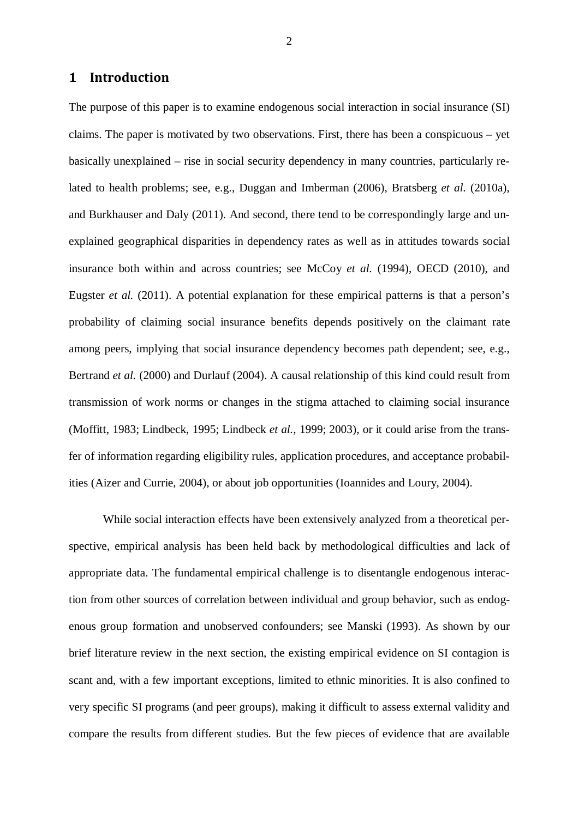# **1 Introduction**

The purpose of this paper is to examine endogenous social interaction in social insurance (SI) claims. The paper is motivated by two observations. First, there has been a conspicuous – yet basically unexplained – rise in social security dependency in many countries, particularly related to health problems; see, e.g., Duggan and Imberman (2006), Bratsberg *et al.* (2010a), and Burkhauser and Daly (2011). And second, there tend to be correspondingly large and unexplained geographical disparities in dependency rates as well as in attitudes towards social insurance both within and across countries; see McCoy *et al.* (1994), OECD (2010), and Eugster *et al.* (2011). A potential explanation for these empirical patterns is that a person's probability of claiming social insurance benefits depends positively on the claimant rate among peers, implying that social insurance dependency becomes path dependent; see, e.g., Bertrand *et al.* (2000) and Durlauf (2004). A causal relationship of this kind could result from transmission of work norms or changes in the stigma attached to claiming social insurance (Moffitt, 1983; Lindbeck, 1995; Lindbeck *et al.*, 1999; 2003), or it could arise from the transfer of information regarding eligibility rules, application procedures, and acceptance probabilities (Aizer and Currie, 2004), or about job opportunities (Ioannides and Loury, 2004).

While social interaction effects have been extensively analyzed from a theoretical perspective, empirical analysis has been held back by methodological difficulties and lack of appropriate data. The fundamental empirical challenge is to disentangle endogenous interaction from other sources of correlation between individual and group behavior, such as endogenous group formation and unobserved confounders; see Manski (1993). As shown by our brief literature review in the next section, the existing empirical evidence on SI contagion is scant and, with a few important exceptions, limited to ethnic minorities. It is also confined to very specific SI programs (and peer groups), making it difficult to assess external validity and compare the results from different studies. But the few pieces of evidence that are available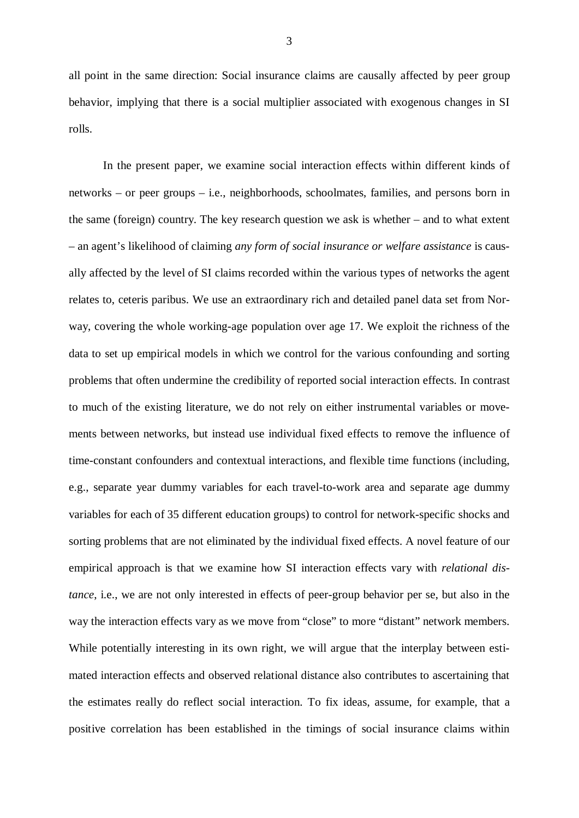all point in the same direction: Social insurance claims are causally affected by peer group behavior, implying that there is a social multiplier associated with exogenous changes in SI rolls.

In the present paper, we examine social interaction effects within different kinds of networks – or peer groups – i.e., neighborhoods, schoolmates, families, and persons born in the same (foreign) country. The key research question we ask is whether – and to what extent – an agent's likelihood of claiming *any form of social insurance or welfare assistance* is causally affected by the level of SI claims recorded within the various types of networks the agent relates to, ceteris paribus. We use an extraordinary rich and detailed panel data set from Norway, covering the whole working-age population over age 17. We exploit the richness of the data to set up empirical models in which we control for the various confounding and sorting problems that often undermine the credibility of reported social interaction effects. In contrast to much of the existing literature, we do not rely on either instrumental variables or movements between networks, but instead use individual fixed effects to remove the influence of time-constant confounders and contextual interactions, and flexible time functions (including, e.g., separate year dummy variables for each travel-to-work area and separate age dummy variables for each of 35 different education groups) to control for network-specific shocks and sorting problems that are not eliminated by the individual fixed effects. A novel feature of our empirical approach is that we examine how SI interaction effects vary with *relational distance*, i.e., we are not only interested in effects of peer-group behavior per se, but also in the way the interaction effects vary as we move from "close" to more "distant" network members. While potentially interesting in its own right, we will argue that the interplay between estimated interaction effects and observed relational distance also contributes to ascertaining that the estimates really do reflect social interaction. To fix ideas, assume, for example, that a positive correlation has been established in the timings of social insurance claims within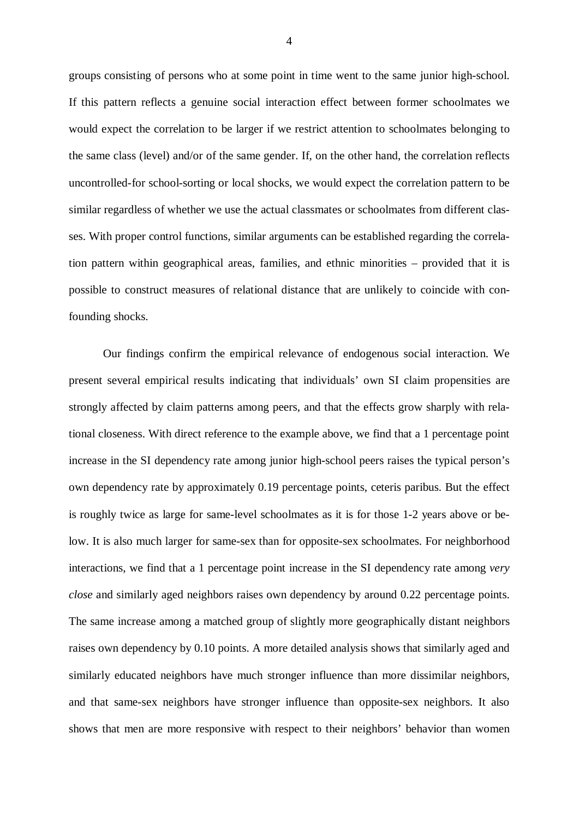groups consisting of persons who at some point in time went to the same junior high-school. If this pattern reflects a genuine social interaction effect between former schoolmates we would expect the correlation to be larger if we restrict attention to schoolmates belonging to the same class (level) and/or of the same gender. If, on the other hand, the correlation reflects uncontrolled-for school-sorting or local shocks, we would expect the correlation pattern to be similar regardless of whether we use the actual classmates or schoolmates from different classes. With proper control functions, similar arguments can be established regarding the correlation pattern within geographical areas, families, and ethnic minorities – provided that it is possible to construct measures of relational distance that are unlikely to coincide with confounding shocks.

Our findings confirm the empirical relevance of endogenous social interaction. We present several empirical results indicating that individuals' own SI claim propensities are strongly affected by claim patterns among peers, and that the effects grow sharply with relational closeness. With direct reference to the example above, we find that a 1 percentage point increase in the SI dependency rate among junior high-school peers raises the typical person's own dependency rate by approximately 0.19 percentage points, ceteris paribus. But the effect is roughly twice as large for same-level schoolmates as it is for those 1-2 years above or below. It is also much larger for same-sex than for opposite-sex schoolmates. For neighborhood interactions, we find that a 1 percentage point increase in the SI dependency rate among *very close* and similarly aged neighbors raises own dependency by around 0.22 percentage points. The same increase among a matched group of slightly more geographically distant neighbors raises own dependency by 0.10 points. A more detailed analysis shows that similarly aged and similarly educated neighbors have much stronger influence than more dissimilar neighbors, and that same-sex neighbors have stronger influence than opposite-sex neighbors. It also shows that men are more responsive with respect to their neighbors' behavior than women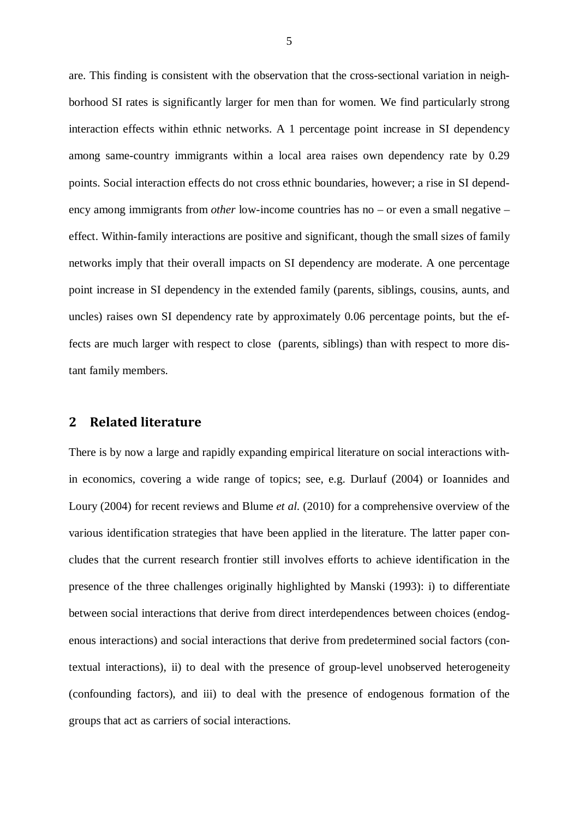are. This finding is consistent with the observation that the cross-sectional variation in neighborhood SI rates is significantly larger for men than for women. We find particularly strong interaction effects within ethnic networks. A 1 percentage point increase in SI dependency among same-country immigrants within a local area raises own dependency rate by 0.29 points. Social interaction effects do not cross ethnic boundaries, however; a rise in SI dependency among immigrants from *other* low-income countries has no – or even a small negative – effect. Within-family interactions are positive and significant, though the small sizes of family networks imply that their overall impacts on SI dependency are moderate. A one percentage point increase in SI dependency in the extended family (parents, siblings, cousins, aunts, and uncles) raises own SI dependency rate by approximately 0.06 percentage points, but the effects are much larger with respect to close (parents, siblings) than with respect to more distant family members.

# **2 Related literature**

There is by now a large and rapidly expanding empirical literature on social interactions within economics, covering a wide range of topics; see, e.g. Durlauf (2004) or Ioannides and Loury (2004) for recent reviews and Blume *et al.* (2010) for a comprehensive overview of the various identification strategies that have been applied in the literature. The latter paper concludes that the current research frontier still involves efforts to achieve identification in the presence of the three challenges originally highlighted by Manski (1993): i) to differentiate between social interactions that derive from direct interdependences between choices (endogenous interactions) and social interactions that derive from predetermined social factors (contextual interactions), ii) to deal with the presence of group-level unobserved heterogeneity (confounding factors), and iii) to deal with the presence of endogenous formation of the groups that act as carriers of social interactions.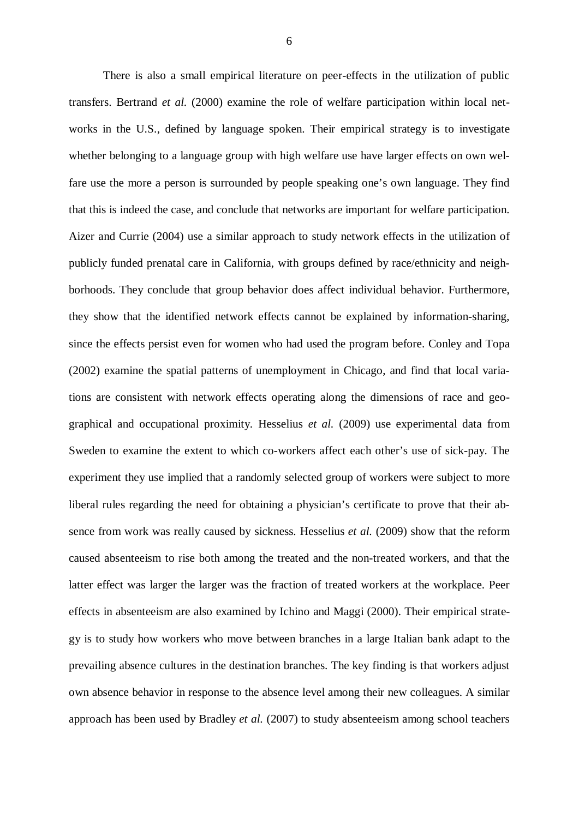There is also a small empirical literature on peer-effects in the utilization of public transfers. Bertrand *et al.* (2000) examine the role of welfare participation within local networks in the U.S., defined by language spoken. Their empirical strategy is to investigate whether belonging to a language group with high welfare use have larger effects on own welfare use the more a person is surrounded by people speaking one's own language. They find that this is indeed the case, and conclude that networks are important for welfare participation. Aizer and Currie (2004) use a similar approach to study network effects in the utilization of publicly funded prenatal care in California, with groups defined by race/ethnicity and neighborhoods. They conclude that group behavior does affect individual behavior. Furthermore, they show that the identified network effects cannot be explained by information-sharing, since the effects persist even for women who had used the program before. Conley and Topa (2002) examine the spatial patterns of unemployment in Chicago, and find that local variations are consistent with network effects operating along the dimensions of race and geographical and occupational proximity. Hesselius *et al.* (2009) use experimental data from Sweden to examine the extent to which co-workers affect each other's use of sick-pay. The experiment they use implied that a randomly selected group of workers were subject to more liberal rules regarding the need for obtaining a physician's certificate to prove that their absence from work was really caused by sickness. Hesselius *et al.* (2009) show that the reform caused absenteeism to rise both among the treated and the non-treated workers, and that the latter effect was larger the larger was the fraction of treated workers at the workplace. Peer effects in absenteeism are also examined by Ichino and Maggi (2000). Their empirical strategy is to study how workers who move between branches in a large Italian bank adapt to the prevailing absence cultures in the destination branches. The key finding is that workers adjust own absence behavior in response to the absence level among their new colleagues. A similar approach has been used by Bradley *et al.* (2007) to study absenteeism among school teachers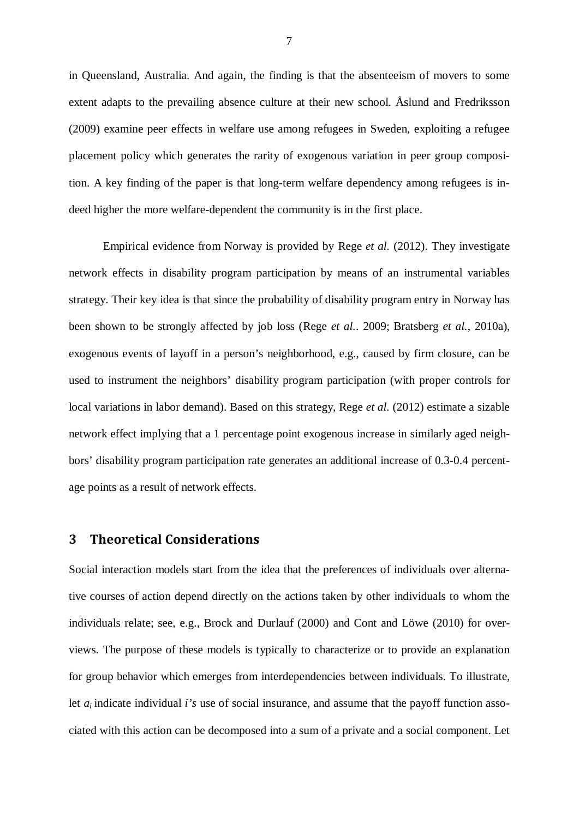in Queensland, Australia. And again, the finding is that the absenteeism of movers to some extent adapts to the prevailing absence culture at their new school. Åslund and Fredriksson (2009) examine peer effects in welfare use among refugees in Sweden, exploiting a refugee placement policy which generates the rarity of exogenous variation in peer group composition. A key finding of the paper is that long-term welfare dependency among refugees is indeed higher the more welfare-dependent the community is in the first place.

Empirical evidence from Norway is provided by Rege *et al.* (2012). They investigate network effects in disability program participation by means of an instrumental variables strategy. Their key idea is that since the probability of disability program entry in Norway has been shown to be strongly affected by job loss (Rege *et al.*. 2009; Bratsberg *et al.*, 2010a), exogenous events of layoff in a person's neighborhood, e.g., caused by firm closure, can be used to instrument the neighbors' disability program participation (with proper controls for local variations in labor demand). Based on this strategy, Rege *et al.* (2012) estimate a sizable network effect implying that a 1 percentage point exogenous increase in similarly aged neighbors' disability program participation rate generates an additional increase of 0.3-0.4 percentage points as a result of network effects.

# **3 Theoretical Considerations**

Social interaction models start from the idea that the preferences of individuals over alternative courses of action depend directly on the actions taken by other individuals to whom the individuals relate; see, e.g., Brock and Durlauf (2000) and Cont and Löwe (2010) for overviews. The purpose of these models is typically to characterize or to provide an explanation for group behavior which emerges from interdependencies between individuals. To illustrate, let  $a_i$  indicate individual *i's* use of social insurance, and assume that the payoff function associated with this action can be decomposed into a sum of a private and a social component. Let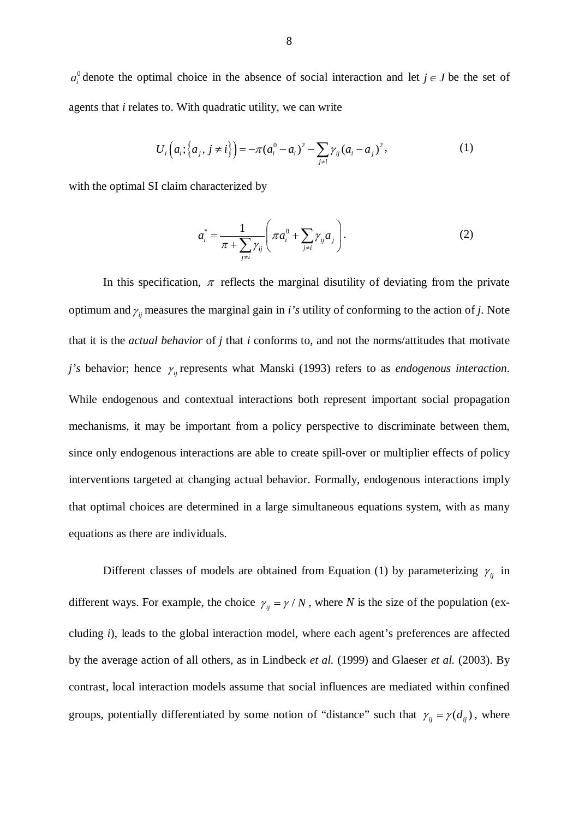$a_i^0$  denote the optimal choice in the absence of social interaction and let  $j \in J$  be the set of agents that *i* relates to. With quadratic utility, we can write

$$
U_i\Big(a_i;\big\{a_j,j\neq i\big\}\Big) = -\pi(a_i^0 - a_i)^2 - \sum_{j\neq i} \gamma_{ij}(a_i - a_j)^2, \tag{1}
$$

with the optimal SI claim characterized by

$$
a_i^* = \frac{1}{\pi + \sum_{j \neq i} \gamma_{ij}} \left( \pi a_i^0 + \sum_{j \neq i} \gamma_{ij} a_j \right).
$$
 (2)

In this specification,  $\pi$  reflects the marginal disutility of deviating from the private optimum and  $\gamma_{ij}$  measures the marginal gain in *i's* utility of conforming to the action of *j*. Note that it is the *actual behavior* of *j* that *i* conforms to, and not the norms/attitudes that motivate *j's* behavior; hence  $\gamma$ <sub>*ii*</sub> represents what Manski (1993) refers to as *endogenous interaction*. While endogenous and contextual interactions both represent important social propagation mechanisms, it may be important from a policy perspective to discriminate between them, since only endogenous interactions are able to create spill-over or multiplier effects of policy interventions targeted at changing actual behavior. Formally, endogenous interactions imply that optimal choices are determined in a large simultaneous equations system, with as many equations as there are individuals.

Different classes of models are obtained from Equation (1) by parameterizing  $\gamma_{ij}$  in different ways. For example, the choice  $\gamma_{ij} = \gamma / N$ , where *N* is the size of the population (excluding *i*), leads to the global interaction model, where each agent's preferences are affected by the average action of all others, as in Lindbeck *et al.* (1999) and Glaeser *et al.* (2003). By contrast, local interaction models assume that social influences are mediated within confined groups, potentially differentiated by some notion of "distance" such that  $\gamma_{ij} = \gamma (d_{ij})$ , where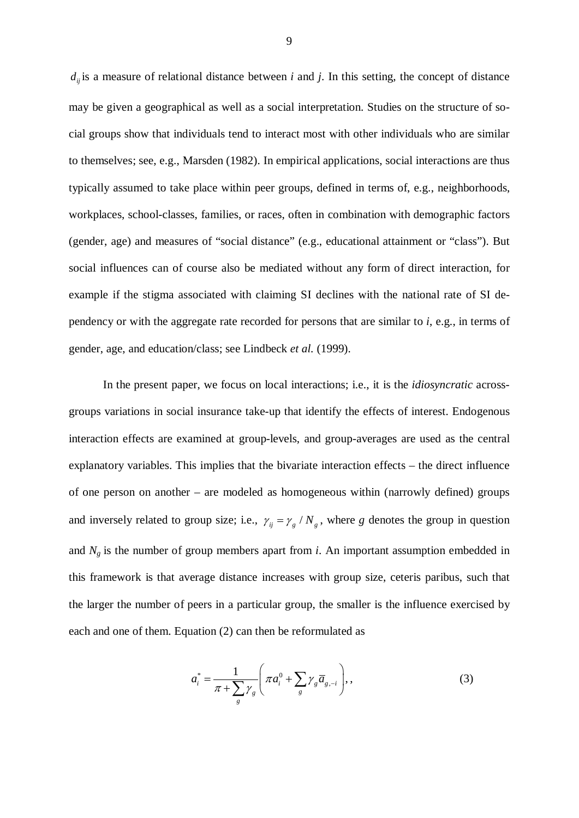$d_{ij}$  *is* a measure of relational distance between *i* and *j*. In this setting, the concept of distance may be given a geographical as well as a social interpretation. Studies on the structure of social groups show that individuals tend to interact most with other individuals who are similar to themselves; see, e.g., Marsden (1982). In empirical applications, social interactions are thus typically assumed to take place within peer groups, defined in terms of, e.g., neighborhoods, workplaces, school-classes, families, or races, often in combination with demographic factors (gender, age) and measures of "social distance" (e.g., educational attainment or "class"). But social influences can of course also be mediated without any form of direct interaction, for example if the stigma associated with claiming SI declines with the national rate of SI dependency or with the aggregate rate recorded for persons that are similar to *i*, e.g., in terms of gender, age, and education/class; see Lindbeck *et al.* (1999).

In the present paper, we focus on local interactions; i.e., it is the *idiosyncratic* acrossgroups variations in social insurance take-up that identify the effects of interest. Endogenous interaction effects are examined at group-levels, and group-averages are used as the central explanatory variables. This implies that the bivariate interaction effects – the direct influence of one person on another – are modeled as homogeneous within (narrowly defined) groups and inversely related to group size; i.e.,  $\gamma_{ij} = \gamma_g / N_g$ , where *g* denotes the group in question and  $N_g$  is the number of group members apart from *i*. An important assumption embedded in this framework is that average distance increases with group size, ceteris paribus, such that the larger the number of peers in a particular group, the smaller is the influence exercised by each and one of them. Equation (2) can then be reformulated as

$$
a_i^* = \frac{1}{\pi + \sum_{g} \gamma_g} \left( \pi a_i^0 + \sum_{g} \gamma_g \overline{a}_{g, -i} \right),\tag{3}
$$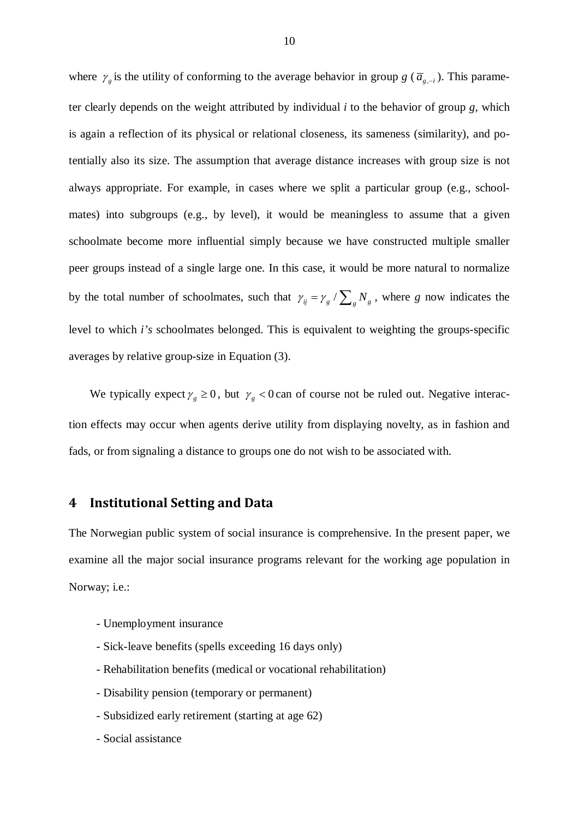where  $\gamma_g$  is the utility of conforming to the average behavior in group *g* ( $\overline{a}_{g,-i}$ ). This parameter clearly depends on the weight attributed by individual *i* to the behavior of group *g*, which is again a reflection of its physical or relational closeness, its sameness (similarity), and potentially also its size. The assumption that average distance increases with group size is not always appropriate. For example, in cases where we split a particular group (e.g., schoolmates) into subgroups (e.g., by level), it would be meaningless to assume that a given schoolmate become more influential simply because we have constructed multiple smaller peer groups instead of a single large one. In this case, it would be more natural to normalize by the total number of schoolmates, such that  $\gamma_{ij} = \gamma_g / \sum_g N_g$ , where *g* now indicates the level to which *i's* schoolmates belonged. This is equivalent to weighting the groups-specific averages by relative group-size in Equation (3).

We typically expect  $\gamma_g \ge 0$ , but  $\gamma_g < 0$  can of course not be ruled out. Negative interaction effects may occur when agents derive utility from displaying novelty, as in fashion and fads, or from signaling a distance to groups one do not wish to be associated with.

## **4 Institutional Setting and Data**

The Norwegian public system of social insurance is comprehensive. In the present paper, we examine all the major social insurance programs relevant for the working age population in Norway; i.e.:

- Unemployment insurance
- Sick-leave benefits (spells exceeding 16 days only)
- Rehabilitation benefits (medical or vocational rehabilitation)
- Disability pension (temporary or permanent)
- Subsidized early retirement (starting at age 62)
- Social assistance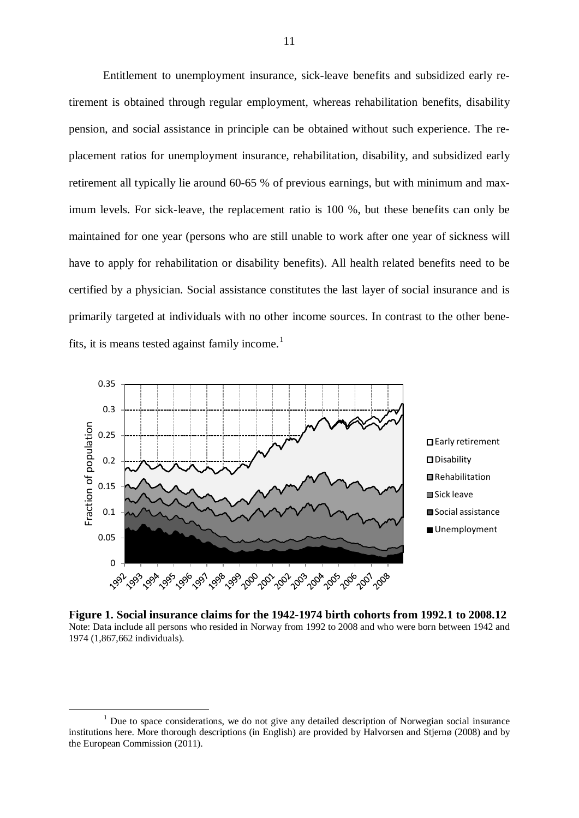Entitlement to unemployment insurance, sick-leave benefits and subsidized early retirement is obtained through regular employment, whereas rehabilitation benefits, disability pension, and social assistance in principle can be obtained without such experience. The replacement ratios for unemployment insurance, rehabilitation, disability, and subsidized early retirement all typically lie around 60-65 % of previous earnings, but with minimum and maximum levels. For sick-leave, the replacement ratio is 100 %, but these benefits can only be maintained for one year (persons who are still unable to work after one year of sickness will have to apply for rehabilitation or disability benefits). All health related benefits need to be certified by a physician. Social assistance constitutes the last layer of social insurance and is primarily targeted at individuals with no other income sources. In contrast to the other bene-fits, it is means tested against family income.<sup>[1](#page-10-0)</sup>



**Figure 1. Social insurance claims for the 1942-1974 birth cohorts from 1992.1 to 2008.12** Note: Data include all persons who resided in Norway from 1992 to 2008 and who were born between 1942 and 1974 (1,867,662 individuals).

<span id="page-10-0"></span> $<sup>1</sup>$  Due to space considerations, we do not give any detailed description of Norwegian social insurance</sup> institutions here. More thorough descriptions (in English) are provided by Halvorsen and Stjernø (2008) and by the European Commission (2011).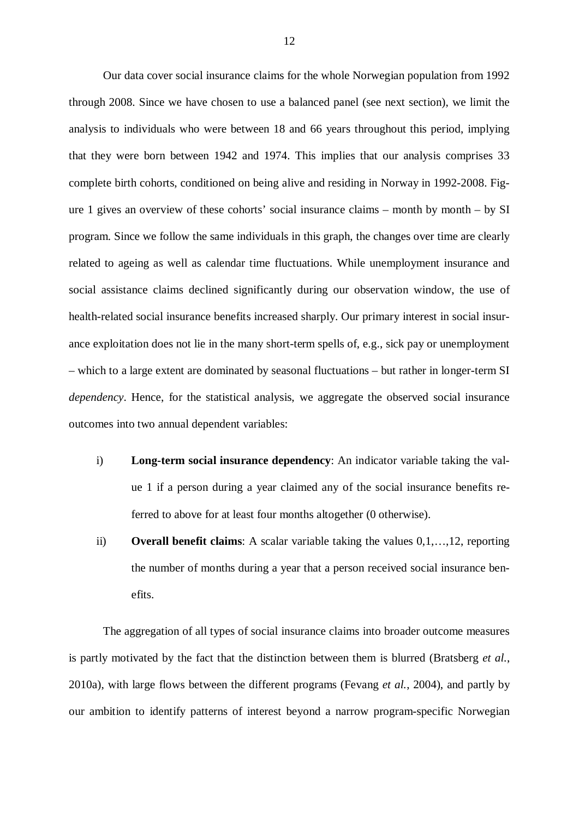Our data cover social insurance claims for the whole Norwegian population from 1992 through 2008. Since we have chosen to use a balanced panel (see next section), we limit the analysis to individuals who were between 18 and 66 years throughout this period, implying that they were born between 1942 and 1974. This implies that our analysis comprises 33 complete birth cohorts, conditioned on being alive and residing in Norway in 1992-2008. Figure 1 gives an overview of these cohorts' social insurance claims – month by month – by  $SI$ program. Since we follow the same individuals in this graph, the changes over time are clearly related to ageing as well as calendar time fluctuations. While unemployment insurance and social assistance claims declined significantly during our observation window, the use of health-related social insurance benefits increased sharply. Our primary interest in social insurance exploitation does not lie in the many short-term spells of, e.g., sick pay or unemployment – which to a large extent are dominated by seasonal fluctuations – but rather in longer-term SI *dependency*. Hence, for the statistical analysis, we aggregate the observed social insurance outcomes into two annual dependent variables:

- i) **Long-term social insurance dependency**: An indicator variable taking the value 1 if a person during a year claimed any of the social insurance benefits referred to above for at least four months altogether (0 otherwise).
- ii) **Overall benefit claims**: A scalar variable taking the values 0,1,…,12, reporting the number of months during a year that a person received social insurance benefits.

The aggregation of all types of social insurance claims into broader outcome measures is partly motivated by the fact that the distinction between them is blurred (Bratsberg *et al.*, 2010a), with large flows between the different programs (Fevang *et al.*, 2004), and partly by our ambition to identify patterns of interest beyond a narrow program-specific Norwegian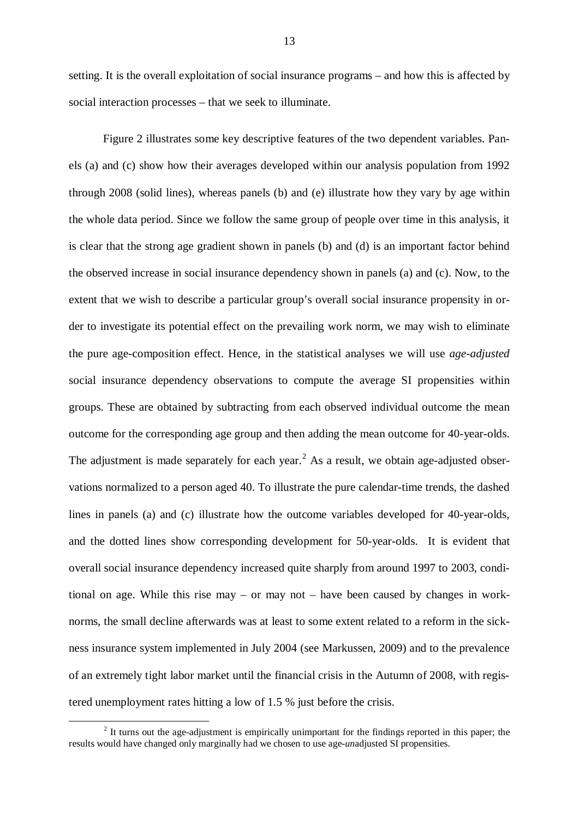setting. It is the overall exploitation of social insurance programs – and how this is affected by social interaction processes – that we seek to illuminate.

Figure 2 illustrates some key descriptive features of the two dependent variables. Panels (a) and (c) show how their averages developed within our analysis population from 1992 through 2008 (solid lines), whereas panels (b) and (e) illustrate how they vary by age within the whole data period. Since we follow the same group of people over time in this analysis, it is clear that the strong age gradient shown in panels (b) and (d) is an important factor behind the observed increase in social insurance dependency shown in panels (a) and (c). Now, to the extent that we wish to describe a particular group's overall social insurance propensity in order to investigate its potential effect on the prevailing work norm, we may wish to eliminate the pure age-composition effect. Hence, in the statistical analyses we will use *age-adjusted* social insurance dependency observations to compute the average SI propensities within groups. These are obtained by subtracting from each observed individual outcome the mean outcome for the corresponding age group and then adding the mean outcome for 40-year-olds. The adjustment is made separately for each year.<sup>[2](#page-12-0)</sup> As a result, we obtain age-adjusted observations normalized to a person aged 40. To illustrate the pure calendar-time trends, the dashed lines in panels (a) and (c) illustrate how the outcome variables developed for 40-year-olds, and the dotted lines show corresponding development for 50-year-olds. It is evident that overall social insurance dependency increased quite sharply from around 1997 to 2003, conditional on age. While this rise may – or may not – have been caused by changes in worknorms, the small decline afterwards was at least to some extent related to a reform in the sickness insurance system implemented in July 2004 (see Markussen, 2009) and to the prevalence of an extremely tight labor market until the financial crisis in the Autumn of 2008, with registered unemployment rates hitting a low of 1.5 % just before the crisis.

<span id="page-12-0"></span><sup>&</sup>lt;sup>2</sup> It turns out the age-adjustment is empirically unimportant for the findings reported in this paper; the results would have changed only marginally had we chosen to use age-*un*adjusted SI propensities.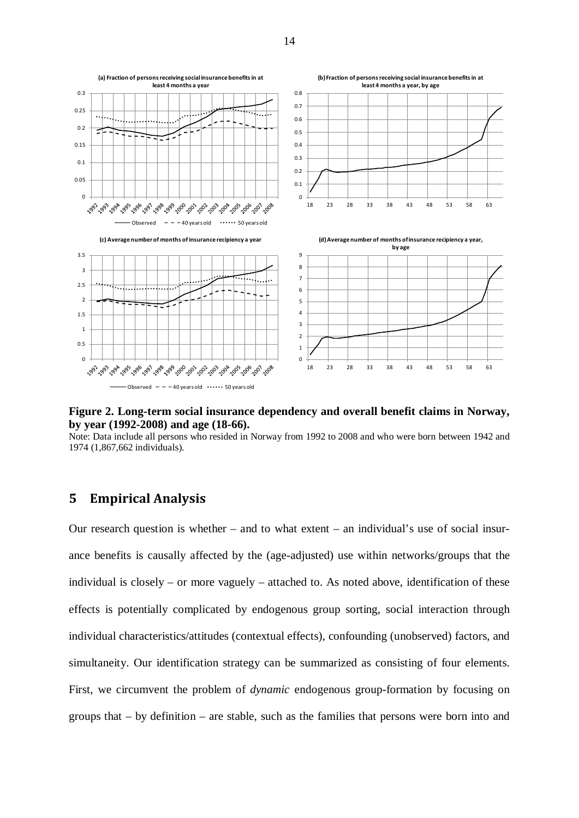

**Figure 2. Long-term social insurance dependency and overall benefit claims in Norway, by year (1992-2008) and age (18-66).**

Note: Data include all persons who resided in Norway from 1992 to 2008 and who were born between 1942 and 1974 (1,867,662 individuals).

# **5 Empirical Analysis**

Our research question is whether – and to what extent – an individual's use of social insurance benefits is causally affected by the (age-adjusted) use within networks/groups that the individual is closely – or more vaguely – attached to. As noted above, identification of these effects is potentially complicated by endogenous group sorting, social interaction through individual characteristics/attitudes (contextual effects), confounding (unobserved) factors, and simultaneity. Our identification strategy can be summarized as consisting of four elements. First, we circumvent the problem of *dynamic* endogenous group-formation by focusing on groups that – by definition – are stable, such as the families that persons were born into and

14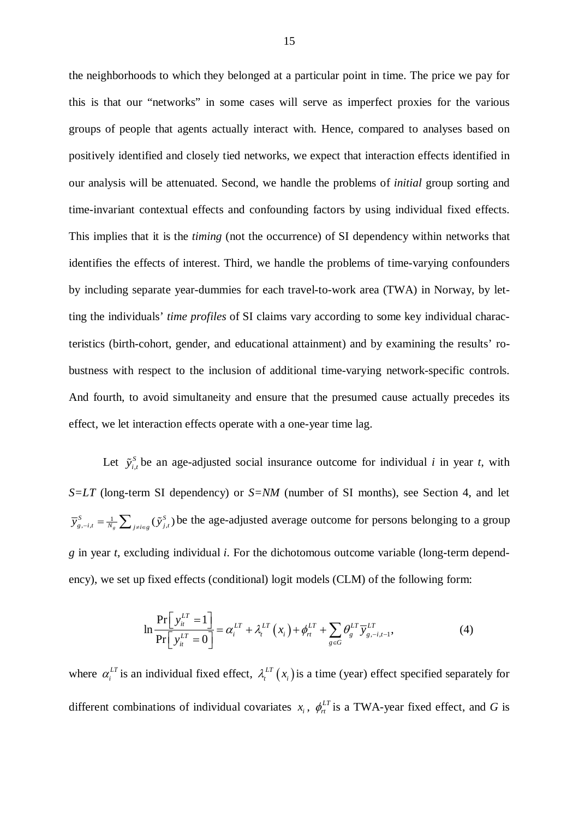the neighborhoods to which they belonged at a particular point in time. The price we pay for this is that our "networks" in some cases will serve as imperfect proxies for the various groups of people that agents actually interact with. Hence, compared to analyses based on positively identified and closely tied networks, we expect that interaction effects identified in our analysis will be attenuated. Second, we handle the problems of *initial* group sorting and time-invariant contextual effects and confounding factors by using individual fixed effects. This implies that it is the *timing* (not the occurrence) of SI dependency within networks that identifies the effects of interest. Third, we handle the problems of time-varying confounders by including separate year-dummies for each travel-to-work area (TWA) in Norway, by letting the individuals' *time profiles* of SI claims vary according to some key individual characteristics (birth-cohort, gender, and educational attainment) and by examining the results' robustness with respect to the inclusion of additional time-varying network-specific controls. And fourth, to avoid simultaneity and ensure that the presumed cause actually precedes its effect, we let interaction effects operate with a one-year time lag.

Let  $\tilde{y}^s_{i,t}$  be an age-adjusted social insurance outcome for individual *i* in year *t*, with *S=LT* (long-term SI dependency) or *S=NM* (number of SI months), see Section 4, and let  $\overline{y}_{g,-i,t}^s = \frac{1}{N_g} \sum_{j \neq i \in g} (\tilde{y}_{j,t}^s)$  be the age-adjusted average outcome for persons belonging to a group *g* in year *t*, excluding individual *i*. For the dichotomous outcome variable (long-term dependency), we set up fixed effects (conditional) logit models (CLM) of the following form:

$$
\ln \frac{\Pr\left[\ y_i^{LT} = 1\right]}{\Pr\left[\ y_i^{LT} = 0\right]} = \alpha_i^{LT} + \lambda_i^{LT}\left(x_i\right) + \phi_{rt}^{LT} + \sum_{g \in G} \theta_g^{LT} \overline{y}_{g, -i, t-1}^{LT},\tag{4}
$$

where  $\alpha_i^{LT}$  is an individual fixed effect,  $\lambda_i^{LT}(x_i)$  is a time (year) effect specified separately for different combinations of individual covariates  $x_i$ ,  $\phi_n^{LT}$  is a TWA-year fixed effect, and G is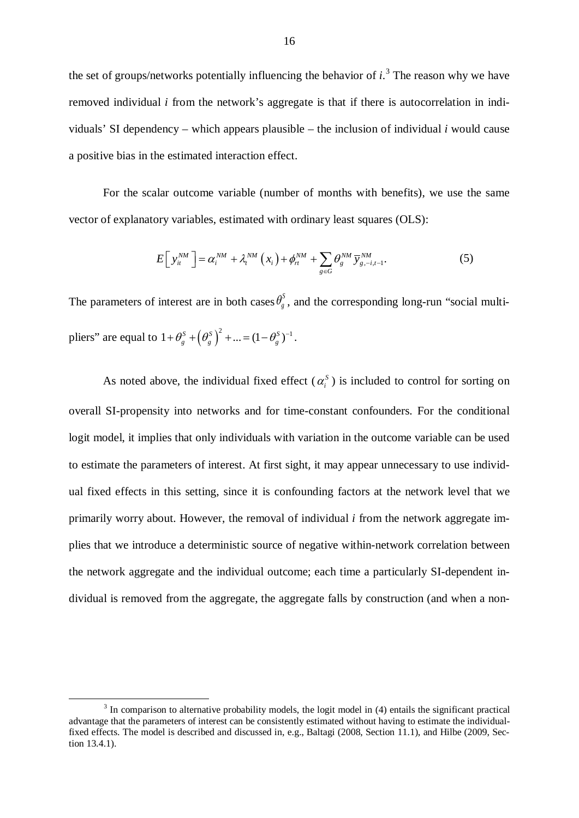the set of groups/networks potentially influencing the behavior of  $i$ <sup>[3](#page-15-0)</sup>. The reason why we have removed individual *i* from the network's aggregate is that if there is autocorrelation in individuals' SI dependency – which appears plausible – the inclusion of individual *i* would cause a positive bias in the estimated interaction effect.

For the scalar outcome variable (number of months with benefits), we use the same vector of explanatory variables, estimated with ordinary least squares (OLS):

$$
E\left[\left[y_{it}^{NM}\right]\right] = \alpha_i^{NM} + \lambda_i^{NM}\left(x_i\right) + \phi_{rt}^{NM} + \sum_{g \in G} \theta_g^{NM} \overline{y}_{g,-i,t-1}^{NM}.
$$
 (5)

The parameters of interest are in both cases  $\theta_g^s$ , and the corresponding long-run "social multipliers" are equal to  $1 + \theta_s^S + (\theta_s^S)^2 + ... = (1 - \theta_s^S)^{-1}$ .

As noted above, the individual fixed effect  $(\alpha_i^s)$  is included to control for sorting on overall SI-propensity into networks and for time-constant confounders. For the conditional logit model, it implies that only individuals with variation in the outcome variable can be used to estimate the parameters of interest. At first sight, it may appear unnecessary to use individual fixed effects in this setting, since it is confounding factors at the network level that we primarily worry about. However, the removal of individual *i* from the network aggregate implies that we introduce a deterministic source of negative within-network correlation between the network aggregate and the individual outcome; each time a particularly SI-dependent individual is removed from the aggregate, the aggregate falls by construction (and when a non-

<span id="page-15-0"></span><sup>&</sup>lt;sup>3</sup> In comparison to alternative probability models, the logit model in (4) entails the significant practical advantage that the parameters of interest can be consistently estimated without having to estimate the individualfixed effects. The model is described and discussed in, e.g., Baltagi (2008, Section 11.1), and Hilbe (2009, Section 13.4.1).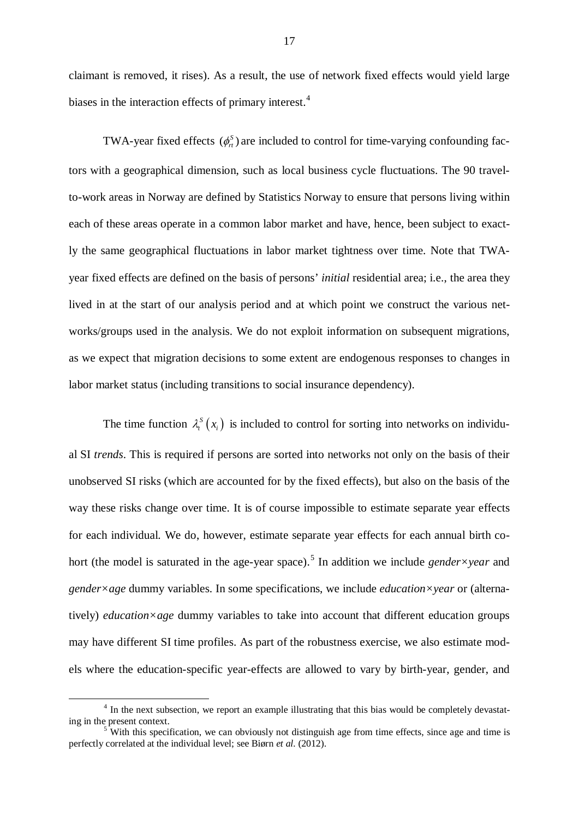claimant is removed, it rises). As a result, the use of network fixed effects would yield large biases in the interaction effects of primary interest.<sup>[4](#page-16-0)</sup>

TWA-year fixed effects  $(\phi_{r}^{S})$  are included to control for time-varying confounding factors with a geographical dimension, such as local business cycle fluctuations. The 90 travelto-work areas in Norway are defined by Statistics Norway to ensure that persons living within each of these areas operate in a common labor market and have, hence, been subject to exactly the same geographical fluctuations in labor market tightness over time. Note that TWAyear fixed effects are defined on the basis of persons' *initial* residential area; i.e., the area they lived in at the start of our analysis period and at which point we construct the various networks/groups used in the analysis. We do not exploit information on subsequent migrations, as we expect that migration decisions to some extent are endogenous responses to changes in labor market status (including transitions to social insurance dependency).

The time function  $\lambda_i^S(x_i)$  is included to control for sorting into networks on individual SI *trends*. This is required if persons are sorted into networks not only on the basis of their unobserved SI risks (which are accounted for by the fixed effects), but also on the basis of the way these risks change over time. It is of course impossible to estimate separate year effects for each individual. We do, however, estimate separate year effects for each annual birth co-hort (the model is saturated in the age-year space).<sup>[5](#page-16-1)</sup> In addition we include *gender*×year and *gender×age* dummy variables. In some specifications, we include *education×year* or (alternatively) *education×age* dummy variables to take into account that different education groups may have different SI time profiles. As part of the robustness exercise, we also estimate models where the education-specific year-effects are allowed to vary by birth-year, gender, and

<span id="page-16-0"></span> <sup>4</sup> In the next subsection, we report an example illustrating that this bias would be completely devastating in the present context.

<span id="page-16-1"></span> $\overline{5}$  With this specification, we can obviously not distinguish age from time effects, since age and time is perfectly correlated at the individual level; see Biørn *et al.* (2012).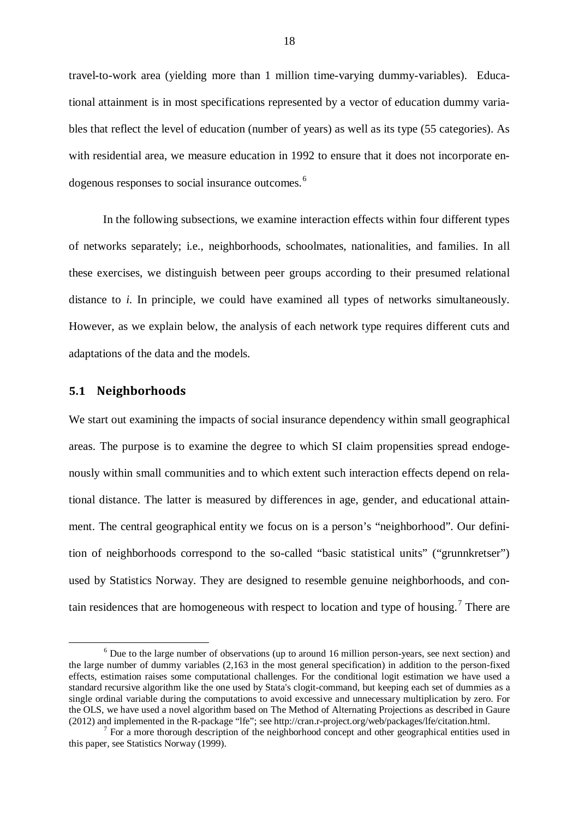travel-to-work area (yielding more than 1 million time-varying dummy-variables). Educational attainment is in most specifications represented by a vector of education dummy variables that reflect the level of education (number of years) as well as its type (55 categories). As with residential area, we measure education in 1992 to ensure that it does not incorporate en-dogenous responses to social insurance outcomes.<sup>[6](#page-17-0)</sup>

In the following subsections, we examine interaction effects within four different types of networks separately; i.e., neighborhoods, schoolmates, nationalities, and families. In all these exercises, we distinguish between peer groups according to their presumed relational distance to *i*. In principle, we could have examined all types of networks simultaneously. However, as we explain below, the analysis of each network type requires different cuts and adaptations of the data and the models.

## **5.1 Neighborhoods**

We start out examining the impacts of social insurance dependency within small geographical areas. The purpose is to examine the degree to which SI claim propensities spread endogenously within small communities and to which extent such interaction effects depend on relational distance. The latter is measured by differences in age, gender, and educational attainment. The central geographical entity we focus on is a person's "neighborhood". Our definition of neighborhoods correspond to the so-called "basic statistical units" ("grunnkretser") used by Statistics Norway. They are designed to resemble genuine neighborhoods, and con-tain residences that are homogeneous with respect to location and type of housing.<sup>[7](#page-17-1)</sup> There are

<span id="page-17-0"></span><sup>&</sup>lt;sup>6</sup> Due to the large number of observations (up to around 16 million person-years, see next section) and the large number of dummy variables (2,163 in the most general specification) in addition to the person-fixed effects, estimation raises some computational challenges. For the conditional logit estimation we have used a standard recursive algorithm like the one used by Stata's clogit-command, but keeping each set of dummies as a single ordinal variable during the computations to avoid excessive and unnecessary multiplication by zero. For the OLS, we have used a novel algorithm based on The Method of Alternating Projections as described in Gaure (2012) and implemented in the R-package "lfe"; see http://cran.r-project.org/web/packages/lfe/citation.html.

<span id="page-17-1"></span> $<sup>7</sup>$  For a more thorough description of the neighborhood concept and other geographical entities used in</sup> this paper, see Statistics Norway (1999).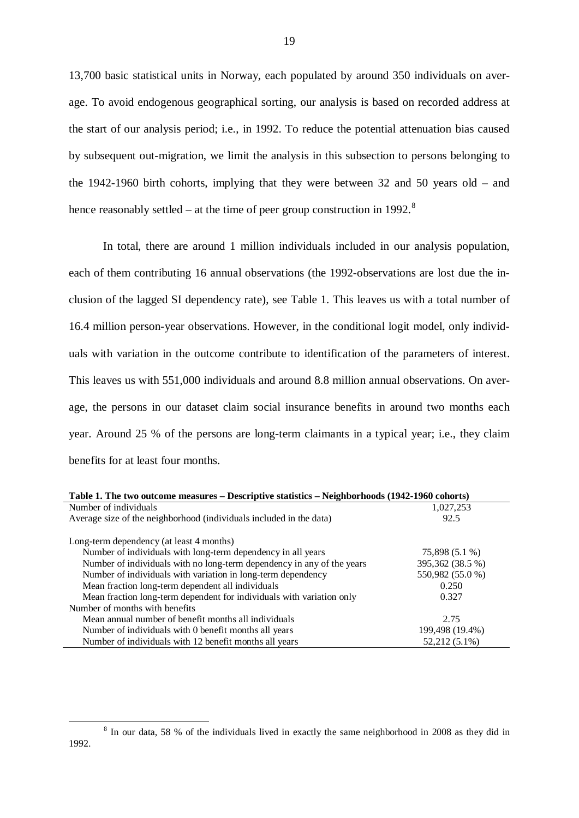13,700 basic statistical units in Norway, each populated by around 350 individuals on average. To avoid endogenous geographical sorting, our analysis is based on recorded address at the start of our analysis period; i.e., in 1992. To reduce the potential attenuation bias caused by subsequent out-migration, we limit the analysis in this subsection to persons belonging to the 1942-1960 birth cohorts, implying that they were between 32 and 50 years old – and hence reasonably settled – at the time of peer group construction in 1992.<sup>[8](#page-18-0)</sup>

In total, there are around 1 million individuals included in our analysis population, each of them contributing 16 annual observations (the 1992-observations are lost due the inclusion of the lagged SI dependency rate), see Table 1. This leaves us with a total number of 16.4 million person-year observations. However, in the conditional logit model, only individuals with variation in the outcome contribute to identification of the parameters of interest. This leaves us with 551,000 individuals and around 8.8 million annual observations. On average, the persons in our dataset claim social insurance benefits in around two months each year. Around 25 % of the persons are long-term claimants in a typical year; i.e., they claim benefits for at least four months.

| Table 1. The two outcome measures – Descriptive statistics – Neighborhoods (1942-1960 cohorts) |                  |  |  |  |  |
|------------------------------------------------------------------------------------------------|------------------|--|--|--|--|
| Number of individuals                                                                          | 1,027,253        |  |  |  |  |
| Average size of the neighborhood (individuals included in the data)                            | 92.5             |  |  |  |  |
| Long-term dependency (at least 4 months)                                                       |                  |  |  |  |  |
| Number of individuals with long-term dependency in all years                                   | 75,898 (5.1 %)   |  |  |  |  |
| Number of individuals with no long-term dependency in any of the years                         | 395,362 (38.5 %) |  |  |  |  |
| Number of individuals with variation in long-term dependency                                   | 550,982 (55.0 %) |  |  |  |  |
| Mean fraction long-term dependent all individuals                                              | 0.250            |  |  |  |  |
| Mean fraction long-term dependent for individuals with variation only                          | 0.327            |  |  |  |  |
| Number of months with benefits                                                                 |                  |  |  |  |  |
| Mean annual number of benefit months all individuals                                           | 2.75             |  |  |  |  |
| Number of individuals with 0 benefit months all years                                          | 199,498 (19.4%)  |  |  |  |  |
| Number of individuals with 12 benefit months all years                                         | 52,212 (5.1%)    |  |  |  |  |

<span id="page-18-0"></span><sup>&</sup>lt;sup>8</sup> In our data, 58 % of the individuals lived in exactly the same neighborhood in 2008 as they did in 1992.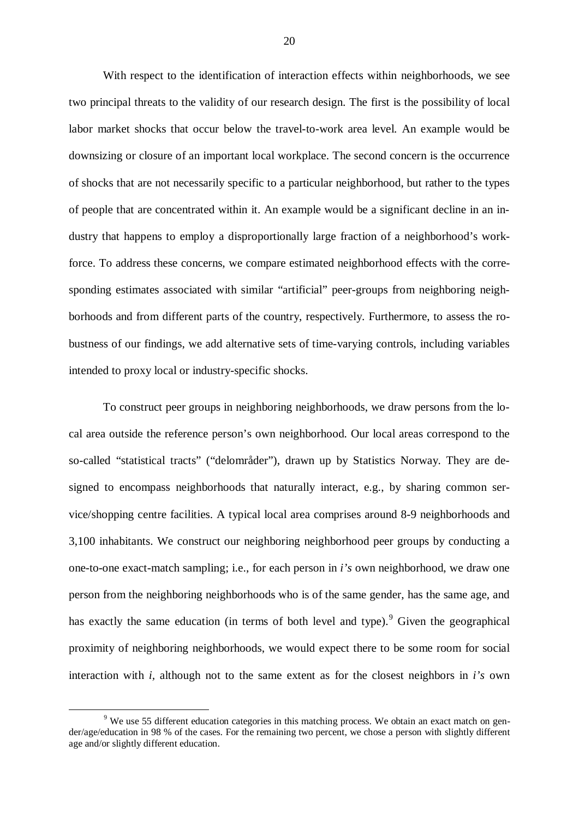With respect to the identification of interaction effects within neighborhoods, we see two principal threats to the validity of our research design. The first is the possibility of local labor market shocks that occur below the travel-to-work area level. An example would be downsizing or closure of an important local workplace. The second concern is the occurrence of shocks that are not necessarily specific to a particular neighborhood, but rather to the types of people that are concentrated within it. An example would be a significant decline in an industry that happens to employ a disproportionally large fraction of a neighborhood's workforce. To address these concerns, we compare estimated neighborhood effects with the corresponding estimates associated with similar "artificial" peer-groups from neighboring neighborhoods and from different parts of the country, respectively. Furthermore, to assess the robustness of our findings, we add alternative sets of time-varying controls, including variables intended to proxy local or industry-specific shocks.

To construct peer groups in neighboring neighborhoods, we draw persons from the local area outside the reference person's own neighborhood. Our local areas correspond to the so-called "statistical tracts" ("delområder"), drawn up by Statistics Norway. They are designed to encompass neighborhoods that naturally interact, e.g., by sharing common service/shopping centre facilities. A typical local area comprises around 8-9 neighborhoods and 3,100 inhabitants. We construct our neighboring neighborhood peer groups by conducting a one-to-one exact-match sampling; i.e., for each person in *i's* own neighborhood, we draw one person from the neighboring neighborhoods who is of the same gender, has the same age, and has exactly the same education (in terms of both level and type). <sup>[9](#page-19-0)</sup> Given the geographical proximity of neighboring neighborhoods, we would expect there to be some room for social interaction with *i,* although not to the same extent as for the closest neighbors in *i's* own

<span id="page-19-0"></span><sup>&</sup>lt;sup>9</sup> We use 55 different education categories in this matching process. We obtain an exact match on gender/age/education in 98 % of the cases. For the remaining two percent, we chose a person with slightly different age and/or slightly different education.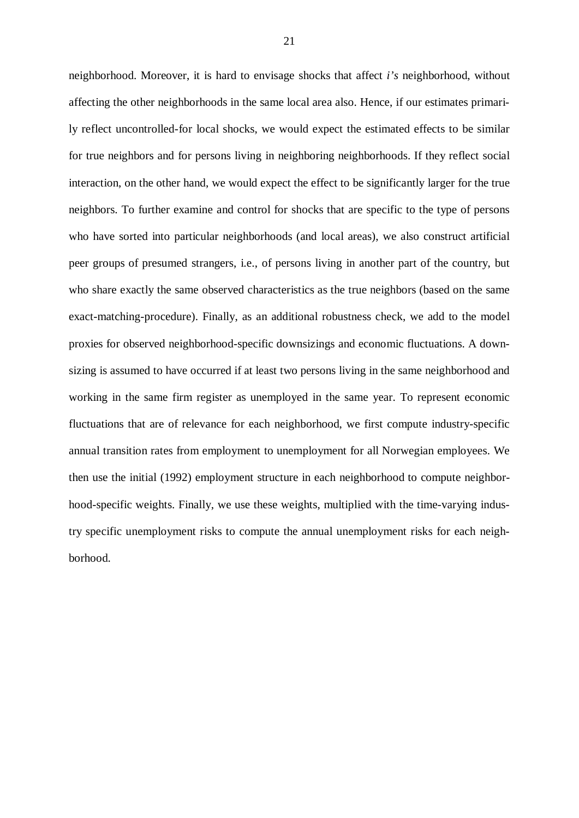neighborhood. Moreover, it is hard to envisage shocks that affect *i's* neighborhood, without affecting the other neighborhoods in the same local area also. Hence, if our estimates primarily reflect uncontrolled-for local shocks, we would expect the estimated effects to be similar for true neighbors and for persons living in neighboring neighborhoods. If they reflect social interaction, on the other hand, we would expect the effect to be significantly larger for the true neighbors. To further examine and control for shocks that are specific to the type of persons who have sorted into particular neighborhoods (and local areas), we also construct artificial peer groups of presumed strangers, i.e., of persons living in another part of the country, but who share exactly the same observed characteristics as the true neighbors (based on the same exact-matching-procedure). Finally, as an additional robustness check, we add to the model proxies for observed neighborhood-specific downsizings and economic fluctuations. A downsizing is assumed to have occurred if at least two persons living in the same neighborhood and working in the same firm register as unemployed in the same year. To represent economic fluctuations that are of relevance for each neighborhood, we first compute industry-specific annual transition rates from employment to unemployment for all Norwegian employees. We then use the initial (1992) employment structure in each neighborhood to compute neighborhood-specific weights. Finally, we use these weights, multiplied with the time-varying industry specific unemployment risks to compute the annual unemployment risks for each neighborhood.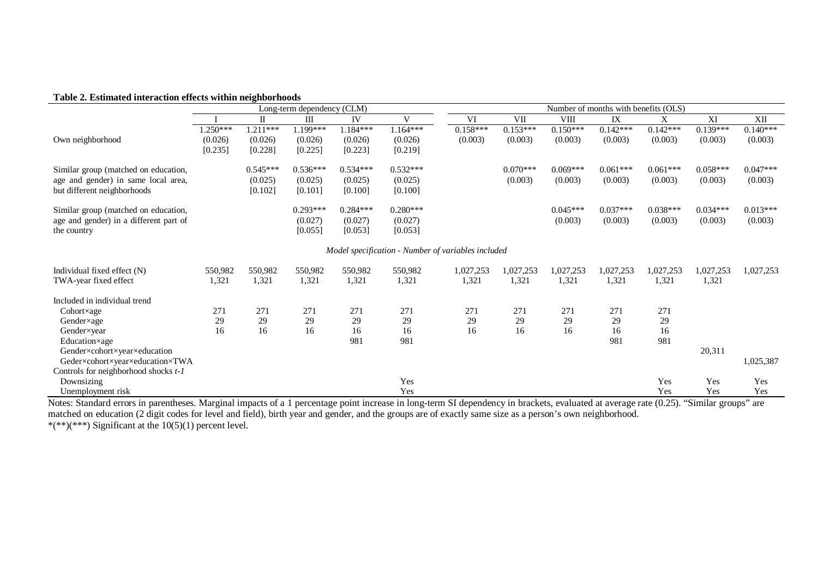#### **Table 2. Estimated interaction effects within neighborhoods**

|                                        |            |            | Long-term dependency (CLM) |            |              |                                                    |            |                       | Number of months with benefits (OLS) |            |            |            |
|----------------------------------------|------------|------------|----------------------------|------------|--------------|----------------------------------------------------|------------|-----------------------|--------------------------------------|------------|------------|------------|
|                                        |            | П          | Ш                          | IV         | $\mathbf{V}$ | VI                                                 | VII        | <b>VIII</b>           | IX                                   | X          | XI         | XII        |
|                                        | $1.250***$ | $1.211***$ | 1.199***                   | $1.184***$ | $1.164***$   | $0.158***$                                         | $0.153***$ | $0.\overline{150***}$ | $0.142***$                           | $0.142***$ | $0.139***$ | $0.140***$ |
| Own neighborhood                       | (0.026)    | (0.026)    | (0.026)                    | (0.026)    | (0.026)      | (0.003)                                            | (0.003)    | (0.003)               | (0.003)                              | (0.003)    | (0.003)    | (0.003)    |
|                                        | [0.235]    | [0.228]    | [0.225]                    | [0.223]    | [0.219]      |                                                    |            |                       |                                      |            |            |            |
| Similar group (matched on education,   |            | $0.545***$ | $0.536***$                 | $0.534***$ | $0.532***$   |                                                    | $0.070***$ | $0.069***$            | $0.061***$                           | $0.061***$ | $0.058***$ | $0.047***$ |
| age and gender) in same local area,    |            | (0.025)    | (0.025)                    | (0.025)    | (0.025)      |                                                    | (0.003)    | (0.003)               | (0.003)                              | (0.003)    | (0.003)    | (0.003)    |
| but different neighborhoods            |            | [0.102]    | [0.101]                    | [0.100]    | [0.100]      |                                                    |            |                       |                                      |            |            |            |
|                                        |            |            |                            |            |              |                                                    |            |                       |                                      |            |            |            |
| Similar group (matched on education,   |            |            | $0.293***$                 | $0.284***$ | $0.280***$   |                                                    |            | $0.045***$            | $0.037***$                           | $0.038***$ | $0.034***$ | $0.013***$ |
| age and gender) in a different part of |            |            | (0.027)                    | (0.027)    | (0.027)      |                                                    |            | (0.003)               | (0.003)                              | (0.003)    | (0.003)    | (0.003)    |
| the country                            |            |            | [0.055]                    | [0.053]    | [0.053]      |                                                    |            |                       |                                      |            |            |            |
|                                        |            |            |                            |            |              |                                                    |            |                       |                                      |            |            |            |
|                                        |            |            |                            |            |              | Model specification - Number of variables included |            |                       |                                      |            |            |            |
| Individual fixed effect (N)            | 550,982    | 550,982    | 550.982                    | 550,982    | 550,982      | 1,027,253                                          | 1,027,253  | 1,027,253             | 1,027,253                            | 1,027,253  | 1,027,253  | 1,027,253  |
| TWA-year fixed effect                  | 1,321      | 1,321      | 1,321                      | 1,321      | 1,321        | 1,321                                              | 1,321      | 1,321                 | 1,321                                | 1,321      | 1,321      |            |
| Included in individual trend           |            |            |                            |            |              |                                                    |            |                       |                                      |            |            |            |
| $Cohort \times age$                    | 271        | 271        | 271                        | 271        | 271          | 271                                                | 271        | 271                   | 271                                  | 271        |            |            |
| Gender×age                             | 29         | 29         | 29                         | 29         | 29           | 29                                                 | 29         | 29                    | 29                                   | 29         |            |            |
| Gender×year                            | 16         | 16         | 16                         | 16         | 16           | 16                                                 | 16         | 16                    | 16                                   | 16         |            |            |
| Education×age                          |            |            |                            | 981        | 981          |                                                    |            |                       | 981                                  | 981        |            |            |
| Gender×cohort×year×education           |            |            |                            |            |              |                                                    |            |                       |                                      |            | 20,311     |            |
| Geder×cohort×year×education×TWA        |            |            |                            |            |              |                                                    |            |                       |                                      |            |            | 1,025,387  |
| Controls for neighborhood shocks t-1   |            |            |                            |            |              |                                                    |            |                       |                                      |            |            |            |
| Downsizing                             |            |            |                            |            | Yes          |                                                    |            |                       |                                      | Yes        | Yes        | Yes        |
| Unemployment risk                      |            |            |                            |            | Yes          |                                                    |            |                       |                                      | Yes        | Yes        | Yes        |

Notes: Standard errors in parentheses. Marginal impacts of a 1 percentage point increase in long-term SI dependency in brackets, evaluated at average rate (0.25). "Similar groups" are matched on education (2 digit codes for level and field), birth year and gender, and the groups are of exactly same size as a person's own neighborhood. \*(\*\*)(\*\*\*) Significant at the  $10(5)(1)$  percent level.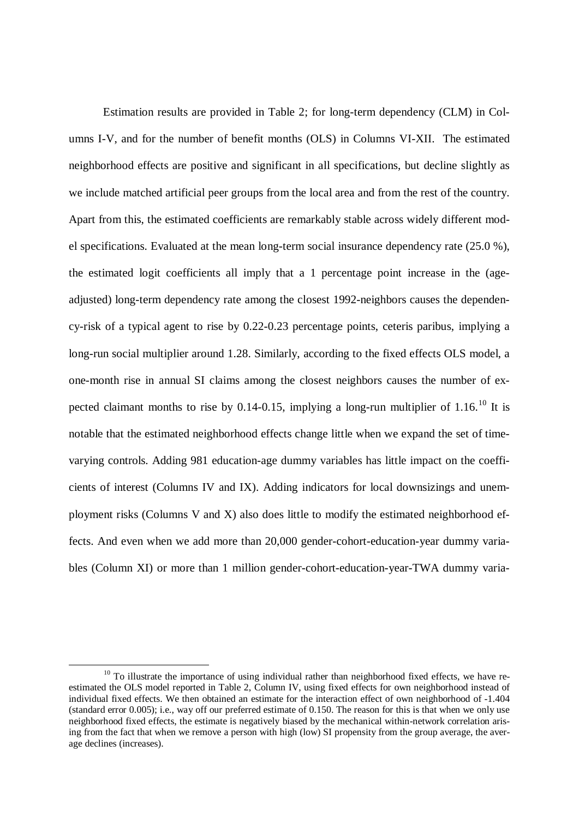Estimation results are provided in Table 2; for long-term dependency (CLM) in Columns I-V, and for the number of benefit months (OLS) in Columns VI-XII. The estimated neighborhood effects are positive and significant in all specifications, but decline slightly as we include matched artificial peer groups from the local area and from the rest of the country. Apart from this, the estimated coefficients are remarkably stable across widely different model specifications. Evaluated at the mean long-term social insurance dependency rate (25.0 %), the estimated logit coefficients all imply that a 1 percentage point increase in the (ageadjusted) long-term dependency rate among the closest 1992-neighbors causes the dependency-risk of a typical agent to rise by 0.22-0.23 percentage points, ceteris paribus, implying a long-run social multiplier around 1.28. Similarly, according to the fixed effects OLS model, a one-month rise in annual SI claims among the closest neighbors causes the number of ex-pected claimant months to rise by 0.14-0.15, implying a long-run multiplier of 1.16.<sup>[10](#page-22-0)</sup> It is notable that the estimated neighborhood effects change little when we expand the set of timevarying controls. Adding 981 education-age dummy variables has little impact on the coefficients of interest (Columns IV and IX). Adding indicators for local downsizings and unemployment risks (Columns V and X) also does little to modify the estimated neighborhood effects. And even when we add more than 20,000 gender-cohort-education-year dummy variables (Column XI) or more than 1 million gender-cohort-education-year-TWA dummy varia-

<span id="page-22-0"></span> $10$  To illustrate the importance of using individual rather than neighborhood fixed effects, we have reestimated the OLS model reported in Table 2, Column IV, using fixed effects for own neighborhood instead of individual fixed effects. We then obtained an estimate for the interaction effect of own neighborhood of -1.404 (standard error 0.005); i.e., way off our preferred estimate of 0.150. The reason for this is that when we only use neighborhood fixed effects, the estimate is negatively biased by the mechanical within-network correlation arising from the fact that when we remove a person with high (low) SI propensity from the group average, the average declines (increases).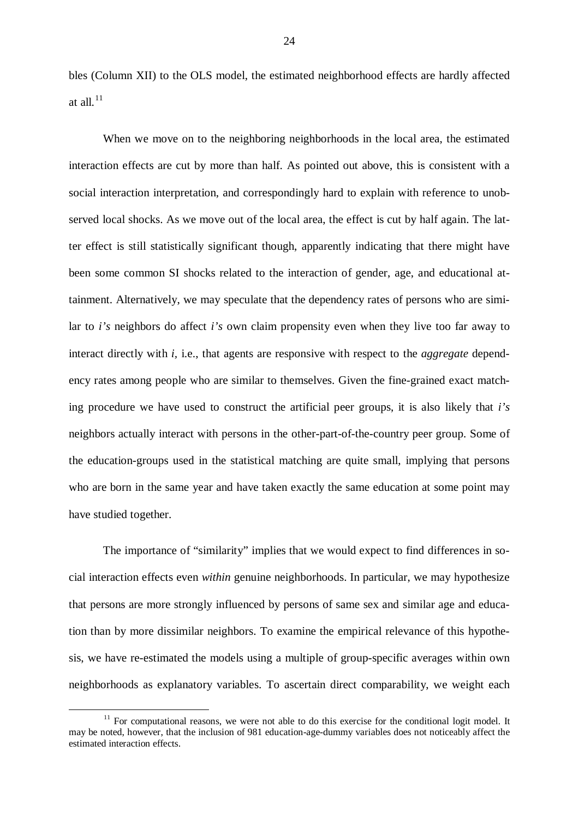bles (Column XII) to the OLS model, the estimated neighborhood effects are hardly affected at all. $11$ 

When we move on to the neighboring neighborhoods in the local area, the estimated interaction effects are cut by more than half. As pointed out above, this is consistent with a social interaction interpretation, and correspondingly hard to explain with reference to unobserved local shocks. As we move out of the local area, the effect is cut by half again. The latter effect is still statistically significant though, apparently indicating that there might have been some common SI shocks related to the interaction of gender, age, and educational attainment. Alternatively, we may speculate that the dependency rates of persons who are similar to *i's* neighbors do affect *i's* own claim propensity even when they live too far away to interact directly with *i,* i.e., that agents are responsive with respect to the *aggregate* dependency rates among people who are similar to themselves. Given the fine-grained exact matching procedure we have used to construct the artificial peer groups, it is also likely that *i's*  neighbors actually interact with persons in the other-part-of-the-country peer group. Some of the education-groups used in the statistical matching are quite small, implying that persons who are born in the same year and have taken exactly the same education at some point may have studied together.

The importance of "similarity" implies that we would expect to find differences in social interaction effects even *within* genuine neighborhoods. In particular, we may hypothesize that persons are more strongly influenced by persons of same sex and similar age and education than by more dissimilar neighbors. To examine the empirical relevance of this hypothesis, we have re-estimated the models using a multiple of group-specific averages within own neighborhoods as explanatory variables. To ascertain direct comparability, we weight each

<span id="page-23-0"></span> $11$  For computational reasons, we were not able to do this exercise for the conditional logit model. It may be noted, however, that the inclusion of 981 education-age-dummy variables does not noticeably affect the estimated interaction effects.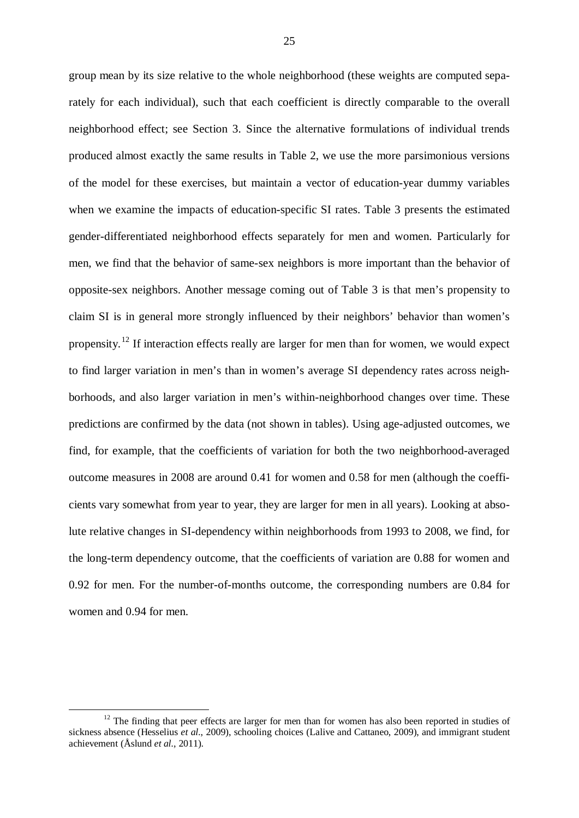group mean by its size relative to the whole neighborhood (these weights are computed separately for each individual), such that each coefficient is directly comparable to the overall neighborhood effect; see Section 3. Since the alternative formulations of individual trends produced almost exactly the same results in Table 2, we use the more parsimonious versions of the model for these exercises, but maintain a vector of education-year dummy variables when we examine the impacts of education-specific SI rates. Table 3 presents the estimated gender-differentiated neighborhood effects separately for men and women. Particularly for men, we find that the behavior of same-sex neighbors is more important than the behavior of opposite-sex neighbors. Another message coming out of Table 3 is that men's propensity to claim SI is in general more strongly influenced by their neighbors' behavior than women's propensity.<sup>[12](#page-24-0)</sup> If interaction effects really are larger for men than for women, we would expect to find larger variation in men's than in women's average SI dependency rates across neighborhoods, and also larger variation in men's within-neighborhood changes over time. These predictions are confirmed by the data (not shown in tables). Using age-adjusted outcomes, we find, for example, that the coefficients of variation for both the two neighborhood-averaged outcome measures in 2008 are around 0.41 for women and 0.58 for men (although the coefficients vary somewhat from year to year, they are larger for men in all years). Looking at absolute relative changes in SI-dependency within neighborhoods from 1993 to 2008, we find, for the long-term dependency outcome, that the coefficients of variation are 0.88 for women and 0.92 for men. For the number-of-months outcome, the corresponding numbers are 0.84 for women and 0.94 for men.

<span id="page-24-0"></span><sup>&</sup>lt;sup>12</sup> The finding that peer effects are larger for men than for women has also been reported in studies of sickness absence (Hesselius *et al.*, 2009), schooling choices (Lalive and Cattaneo, 2009), and immigrant student achievement (Åslund *et al.*, 2011).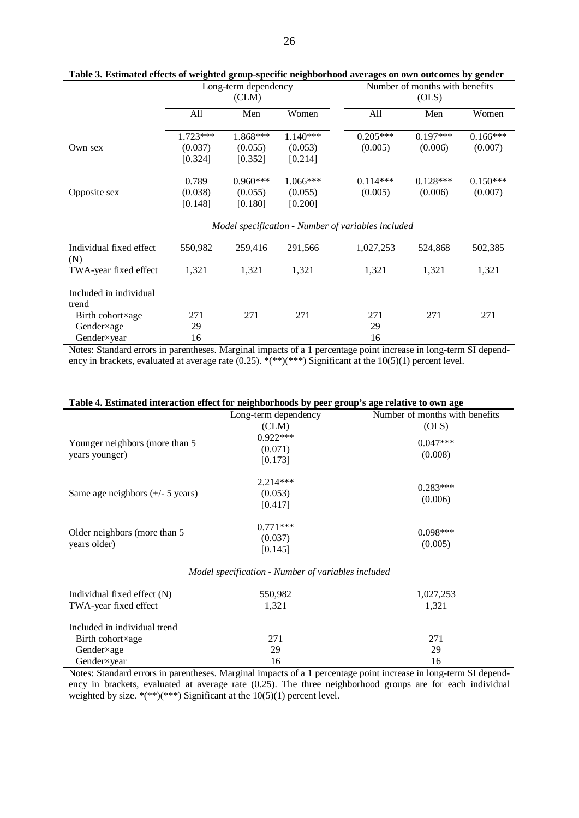|                                               | Long-term dependency<br>CLM) |                                  |                                                    | Number of months with benefits<br>(OLS) |                       |                       |  |
|-----------------------------------------------|------------------------------|----------------------------------|----------------------------------------------------|-----------------------------------------|-----------------------|-----------------------|--|
|                                               | All                          | Men                              | Women                                              | All                                     | Men                   | Women                 |  |
|                                               | $1.723***$                   | 1.868***                         | $1.140***$                                         | $0.205***$                              | $0.197***$            | $0.166***$            |  |
| Own sex                                       | (0.037)<br>[0.324]           | (0.055)<br>[0.352]               | (0.053)<br>[0.214]                                 | (0.005)                                 | (0.006)               | (0.007)               |  |
| Opposite sex                                  | 0.789<br>(0.038)<br>[0.148]  | $0.960***$<br>(0.055)<br>[0.180] | $1.066***$<br>(0.055)<br>[0.200]                   | $0.114***$<br>(0.005)                   | $0.128***$<br>(0.006) | $0.150***$<br>(0.007) |  |
|                                               |                              |                                  | Model specification - Number of variables included |                                         |                       |                       |  |
| Individual fixed effect<br>(N)                | 550,982                      | 259,416                          | 291,566                                            | 1,027,253                               | 524,868               | 502,385               |  |
| TWA-year fixed effect                         | 1,321                        | 1,321                            | 1,321                                              | 1,321                                   | 1,321                 | 1,321                 |  |
| Included in individual<br>trend               |                              |                                  |                                                    |                                         |                       |                       |  |
| Birth cohort×age<br>Gender×age<br>Gender×year | 271<br>29<br>16              | 271                              | 271                                                | 271<br>29<br>16                         | 271                   | 271                   |  |

**Table 3. Estimated effects of weighted group-specific neighborhood averages on own outcomes by gender**

Notes: Standard errors in parentheses. Marginal impacts of a 1 percentage point increase in long-term SI dependency in brackets, evaluated at average rate (0.25). \*(\*\*)(\*\*\*) Significant at the  $10(5)(1)$  percent level.

| Table 4. Estimated interaction effect for neighborhoods by peer group's age relative to own age |
|-------------------------------------------------------------------------------------------------|
|-------------------------------------------------------------------------------------------------|

| Table 4. Estimated interaction effect for neighborhoods by peer group's age relative to own age |                                                    |                                |
|-------------------------------------------------------------------------------------------------|----------------------------------------------------|--------------------------------|
|                                                                                                 | Long-term dependency                               | Number of months with benefits |
|                                                                                                 | CLM)                                               | (OLS)                          |
|                                                                                                 | $0.922***$                                         |                                |
| Younger neighbors (more than 5                                                                  | (0.071)                                            | $0.047***$                     |
| years younger)                                                                                  | [0.173]                                            | (0.008)                        |
|                                                                                                 |                                                    |                                |
|                                                                                                 | $2.214***$                                         |                                |
| Same age neighbors $(+/- 5 \text{ years})$                                                      | (0.053)                                            | $0.283***$                     |
|                                                                                                 | [0.417]                                            | (0.006)                        |
|                                                                                                 |                                                    |                                |
|                                                                                                 | $0.771***$                                         |                                |
| Older neighbors (more than 5                                                                    |                                                    | $0.098***$                     |
| years older)                                                                                    | (0.037)                                            | (0.005)                        |
|                                                                                                 | [0.145]                                            |                                |
|                                                                                                 | Model specification - Number of variables included |                                |
| Individual fixed effect (N)                                                                     | 550,982                                            | 1,027,253                      |
| TWA-year fixed effect                                                                           | 1,321                                              | 1,321                          |
|                                                                                                 |                                                    |                                |
| Included in individual trend                                                                    |                                                    |                                |
| Birth cohort×age                                                                                | 271                                                | 271                            |
| Gender×age                                                                                      | 29                                                 | 29                             |
| Gender×year                                                                                     | 16                                                 | 16                             |

Notes: Standard errors in parentheses. Marginal impacts of a 1 percentage point increase in long-term SI dependency in brackets, evaluated at average rate (0.25). The three neighborhood groups are for each individual weighted by size. \*(\*\*)(\*\*\*) Significant at the  $10(5)(1)$  percent level.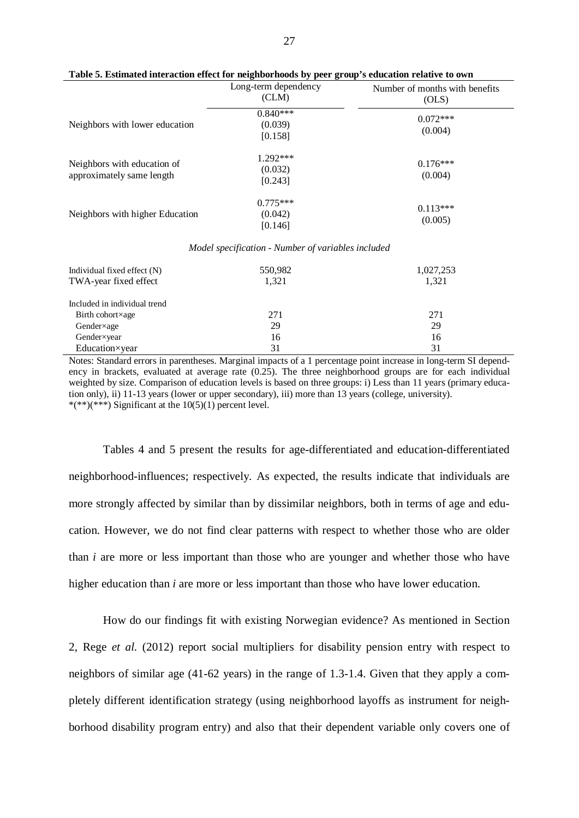|                                                          | Long-term dependency<br>(CLM)                      | Number of months with benefits<br>(OLS) |
|----------------------------------------------------------|----------------------------------------------------|-----------------------------------------|
| Neighbors with lower education                           | $0.840***$<br>(0.039)<br>[0.158]                   | $0.072***$<br>(0.004)                   |
| Neighbors with education of<br>approximately same length | $1.292***$<br>(0.032)<br>[0.243]                   | $0.176***$<br>(0.004)                   |
| Neighbors with higher Education                          | $0.775***$<br>(0.042)<br>[0.146]                   | $0.113***$<br>(0.005)                   |
|                                                          | Model specification - Number of variables included |                                         |

#### **Table 5. Estimated interaction effect for neighborhoods by peer group's education relative to own**

| Individual fixed effect $(N)$<br>TWA-year fixed effect | 550,982<br>1,321 | 1,027,253<br>1,321 |
|--------------------------------------------------------|------------------|--------------------|
| Included in individual trend                           |                  |                    |
| Birth cohort×age                                       | 271              | 271                |
| Gender×age                                             | 29               | 29                 |
| Gender×year                                            | 16               | 16                 |
| Education×year                                         | 31               | 31                 |

Notes: Standard errors in parentheses. Marginal impacts of a 1 percentage point increase in long-term SI dependency in brackets, evaluated at average rate (0.25). The three neighborhood groups are for each individual weighted by size. Comparison of education levels is based on three groups: i) Less than 11 years (primary education only), ii) 11-13 years (lower or upper secondary), iii) more than 13 years (college, university). \*(\*\*)(\*\*\*) Significant at the  $10(5)(1)$  percent level.

Tables 4 and 5 present the results for age-differentiated and education-differentiated neighborhood-influences; respectively. As expected, the results indicate that individuals are more strongly affected by similar than by dissimilar neighbors, both in terms of age and education. However, we do not find clear patterns with respect to whether those who are older than *i* are more or less important than those who are younger and whether those who have higher education than *i* are more or less important than those who have lower education.

How do our findings fit with existing Norwegian evidence? As mentioned in Section 2, Rege *et al.* (2012) report social multipliers for disability pension entry with respect to neighbors of similar age (41-62 years) in the range of 1.3-1.4. Given that they apply a completely different identification strategy (using neighborhood layoffs as instrument for neighborhood disability program entry) and also that their dependent variable only covers one of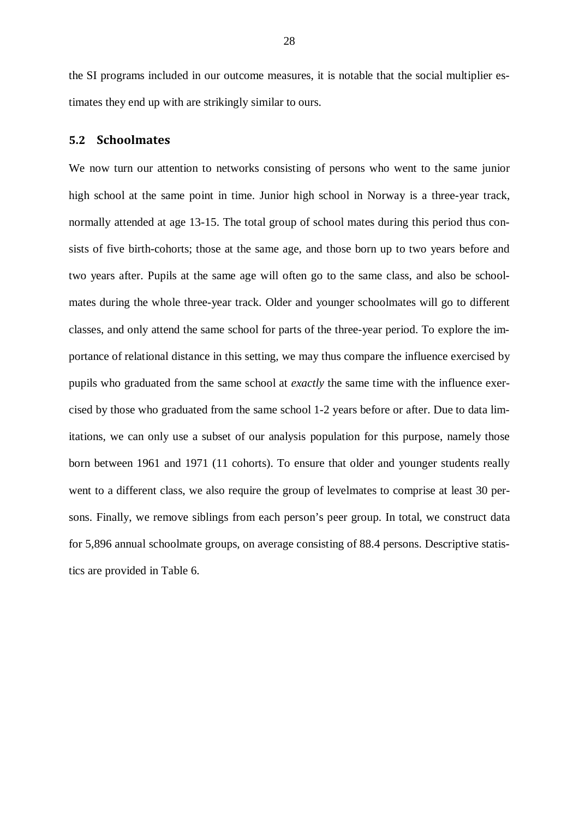the SI programs included in our outcome measures, it is notable that the social multiplier estimates they end up with are strikingly similar to ours.

## **5.2 Schoolmates**

We now turn our attention to networks consisting of persons who went to the same junior high school at the same point in time. Junior high school in Norway is a three-year track, normally attended at age 13-15. The total group of school mates during this period thus consists of five birth-cohorts; those at the same age, and those born up to two years before and two years after. Pupils at the same age will often go to the same class, and also be schoolmates during the whole three-year track. Older and younger schoolmates will go to different classes, and only attend the same school for parts of the three-year period. To explore the importance of relational distance in this setting, we may thus compare the influence exercised by pupils who graduated from the same school at *exactly* the same time with the influence exercised by those who graduated from the same school 1-2 years before or after. Due to data limitations, we can only use a subset of our analysis population for this purpose, namely those born between 1961 and 1971 (11 cohorts). To ensure that older and younger students really went to a different class, we also require the group of levelmates to comprise at least 30 persons. Finally, we remove siblings from each person's peer group. In total, we construct data for 5,896 annual schoolmate groups, on average consisting of 88.4 persons. Descriptive statistics are provided in Table 6.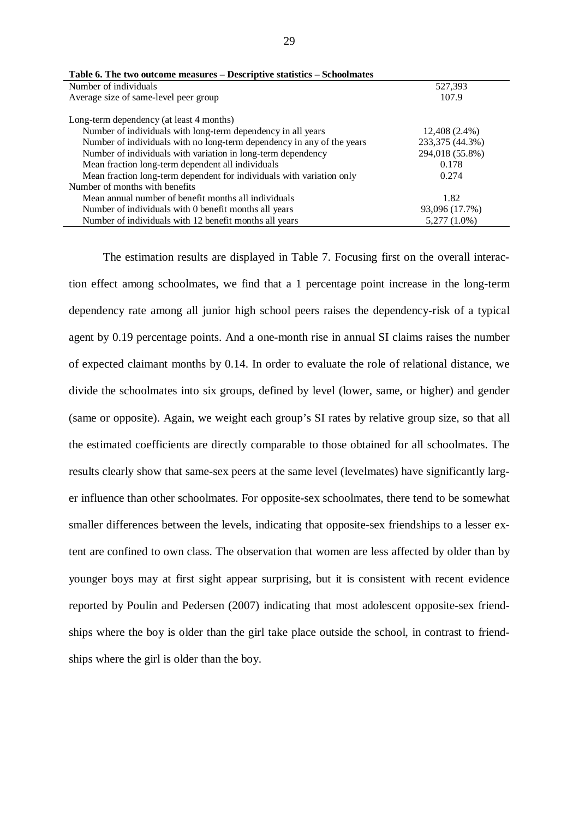| Number of individuals                                                  | 527,393         |
|------------------------------------------------------------------------|-----------------|
| Average size of same-level peer group                                  | 107.9           |
|                                                                        |                 |
| Long-term dependency (at least 4 months)                               |                 |
| Number of individuals with long-term dependency in all years           | 12,408 (2.4%)   |
| Number of individuals with no long-term dependency in any of the years | 233,375 (44.3%) |
| Number of individuals with variation in long-term dependency           | 294,018 (55.8%) |
| Mean fraction long-term dependent all individuals                      | 0.178           |
| Mean fraction long-term dependent for individuals with variation only  | 0.274           |
| Number of months with benefits                                         |                 |
| Mean annual number of benefit months all individuals                   | 1.82            |
| Number of individuals with 0 benefit months all years                  | 93,096 (17.7%)  |
| Number of individuals with 12 benefit months all years                 | $5,277(1.0\%)$  |
|                                                                        |                 |

|  | Table 6. The two outcome measures – Descriptive statistics – Schoolmates |
|--|--------------------------------------------------------------------------|
|--|--------------------------------------------------------------------------|

The estimation results are displayed in Table 7. Focusing first on the overall interaction effect among schoolmates, we find that a 1 percentage point increase in the long-term dependency rate among all junior high school peers raises the dependency-risk of a typical agent by 0.19 percentage points. And a one-month rise in annual SI claims raises the number of expected claimant months by 0.14. In order to evaluate the role of relational distance, we divide the schoolmates into six groups, defined by level (lower, same, or higher) and gender (same or opposite). Again, we weight each group's SI rates by relative group size, so that all the estimated coefficients are directly comparable to those obtained for all schoolmates. The results clearly show that same-sex peers at the same level (levelmates) have significantly larger influence than other schoolmates. For opposite-sex schoolmates, there tend to be somewhat smaller differences between the levels, indicating that opposite-sex friendships to a lesser extent are confined to own class. The observation that women are less affected by older than by younger boys may at first sight appear surprising, but it is consistent with recent evidence reported by Poulin and Pedersen (2007) indicating that most adolescent opposite-sex friendships where the boy is older than the girl take place outside the school, in contrast to friendships where the girl is older than the boy.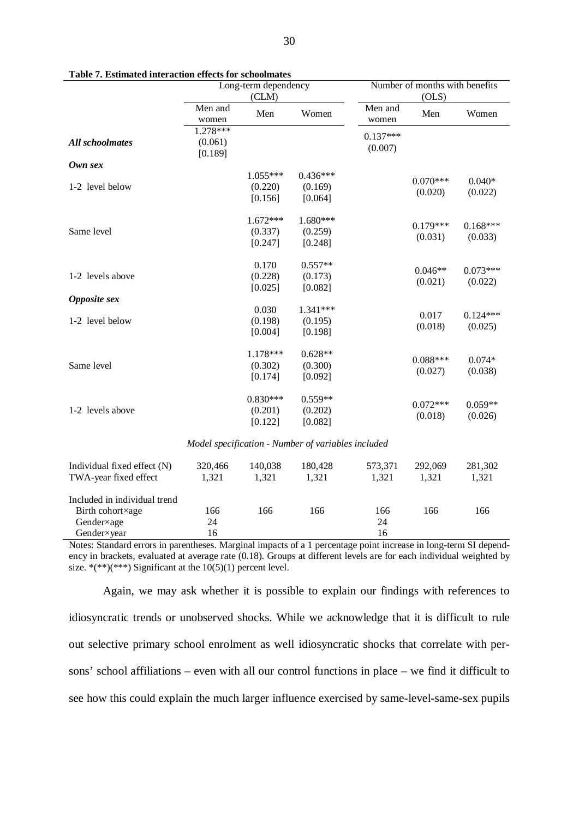|                                                                               | Long-term dependency<br>(CLM)    |                                  |                                                    | Number of months with benefits<br>(OLS) |                       |                       |  |
|-------------------------------------------------------------------------------|----------------------------------|----------------------------------|----------------------------------------------------|-----------------------------------------|-----------------------|-----------------------|--|
|                                                                               | Men and<br>women                 | Men                              | Women                                              | Men and<br>women                        | Men                   | Women                 |  |
| <b>All schoolmates</b>                                                        | $1.278***$<br>(0.061)<br>[0.189] |                                  |                                                    | $0.137***$<br>(0.007)                   |                       |                       |  |
| Own sex                                                                       |                                  |                                  |                                                    |                                         |                       |                       |  |
| 1-2 level below                                                               |                                  | $1.055***$<br>(0.220)<br>[0.156] | $0.436***$<br>(0.169)<br>[0.064]                   |                                         | $0.070***$<br>(0.020) | $0.040*$<br>(0.022)   |  |
| Same level                                                                    |                                  | $1.672***$<br>(0.337)<br>[0.247] | $1.680***$<br>(0.259)<br>[0.248]                   |                                         | $0.179***$<br>(0.031) | $0.168***$<br>(0.033) |  |
| 1-2 levels above                                                              |                                  | 0.170<br>(0.228)<br>[0.025]      | $0.557**$<br>(0.173)<br>[0.082]                    |                                         | $0.046**$<br>(0.021)  | $0.073***$<br>(0.022) |  |
| Opposite sex                                                                  |                                  |                                  |                                                    |                                         |                       |                       |  |
| 1-2 level below                                                               |                                  | 0.030<br>(0.198)<br>[0.004]      | 1.341***<br>(0.195)<br>[0.198]                     |                                         | 0.017<br>(0.018)      | $0.124***$<br>(0.025) |  |
| Same level                                                                    |                                  | 1.178***<br>(0.302)<br>[0.174]   | $0.628**$<br>(0.300)<br>[0.092]                    |                                         | $0.088***$<br>(0.027) | $0.074*$<br>(0.038)   |  |
| 1-2 levels above                                                              |                                  | $0.830***$<br>(0.201)<br>[0.122] | $0.559**$<br>(0.202)<br>[0.082]                    |                                         | $0.072***$<br>(0.018) | $0.059**$<br>(0.026)  |  |
|                                                                               |                                  |                                  | Model specification - Number of variables included |                                         |                       |                       |  |
| Individual fixed effect (N)<br>TWA-year fixed effect                          | 320,466<br>1,321                 | 140,038<br>1,321                 | 180,428<br>1,321                                   | 573,371<br>1,321                        | 292,069<br>1,321      | 281,302<br>1,321      |  |
| Included in individual trend<br>Birth cohort×age<br>Gender×age<br>Gender×year | 166<br>24<br>16                  | 166                              | 166                                                | 166<br>24<br>16                         | 166                   | 166                   |  |

**Table 7. Estimated interaction effects for schoolmates**

Notes: Standard errors in parentheses. Marginal impacts of a 1 percentage point increase in long-term SI dependency in brackets, evaluated at average rate (0.18). Groups at different levels are for each individual weighted by size. \*(\*\*)(\*\*\*) Significant at the  $10(5)(1)$  percent level.

Again, we may ask whether it is possible to explain our findings with references to idiosyncratic trends or unobserved shocks. While we acknowledge that it is difficult to rule out selective primary school enrolment as well idiosyncratic shocks that correlate with persons' school affiliations – even with all our control functions in place – we find it difficult to see how this could explain the much larger influence exercised by same-level-same-sex pupils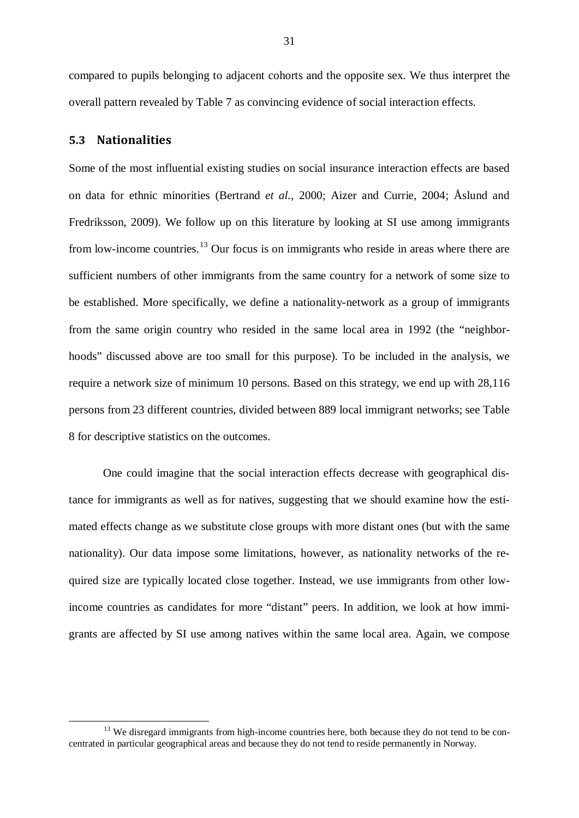compared to pupils belonging to adjacent cohorts and the opposite sex. We thus interpret the overall pattern revealed by Table 7 as convincing evidence of social interaction effects.

## **5.3 Nationalities**

Some of the most influential existing studies on social insurance interaction effects are based on data for ethnic minorities (Bertrand *et al.,* 2000; Aizer and Currie, 2004; Åslund and Fredriksson, 2009). We follow up on this literature by looking at SI use among immigrants from low-income countries.<sup>[13](#page-30-0)</sup> Our focus is on immigrants who reside in areas where there are sufficient numbers of other immigrants from the same country for a network of some size to be established. More specifically, we define a nationality-network as a group of immigrants from the same origin country who resided in the same local area in 1992 (the "neighborhoods" discussed above are too small for this purpose). To be included in the analysis, we require a network size of minimum 10 persons. Based on this strategy, we end up with 28,116 persons from 23 different countries, divided between 889 local immigrant networks; see Table 8 for descriptive statistics on the outcomes.

One could imagine that the social interaction effects decrease with geographical distance for immigrants as well as for natives, suggesting that we should examine how the estimated effects change as we substitute close groups with more distant ones (but with the same nationality). Our data impose some limitations, however, as nationality networks of the required size are typically located close together. Instead, we use immigrants from other lowincome countries as candidates for more "distant" peers. In addition, we look at how immigrants are affected by SI use among natives within the same local area. Again, we compose

<span id="page-30-0"></span> $<sup>13</sup>$  We disregard immigrants from high-income countries here, both because they do not tend to be con-</sup> centrated in particular geographical areas and because they do not tend to reside permanently in Norway.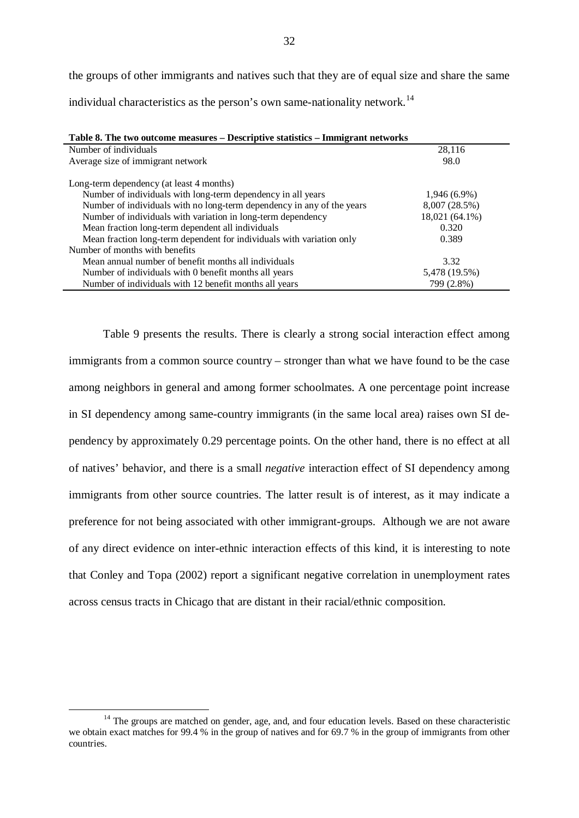the groups of other immigrants and natives such that they are of equal size and share the same individual characteristics as the person's own same-nationality network.<sup>[14](#page-31-0)</sup>

| Table 8. The two outcome measures – Descriptive statistics – Immigrant networks |                |  |  |  |
|---------------------------------------------------------------------------------|----------------|--|--|--|
| Number of individuals                                                           | 28,116         |  |  |  |
| Average size of immigrant network                                               | 98.0           |  |  |  |
| Long-term dependency (at least 4 months)                                        |                |  |  |  |
| Number of individuals with long-term dependency in all years                    | $1,946(6.9\%)$ |  |  |  |
| Number of individuals with no long-term dependency in any of the years          | 8,007 (28.5%)  |  |  |  |
| Number of individuals with variation in long-term dependency                    | 18,021 (64.1%) |  |  |  |
| Mean fraction long-term dependent all individuals                               | 0.320          |  |  |  |
| Mean fraction long-term dependent for individuals with variation only           | 0.389          |  |  |  |
| Number of months with benefits                                                  |                |  |  |  |
| Mean annual number of benefit months all individuals                            | 3.32           |  |  |  |
| Number of individuals with 0 benefit months all years                           | 5,478 (19.5%)  |  |  |  |
| Number of individuals with 12 benefit months all years                          | 799 (2.8%)     |  |  |  |

Table 9 presents the results. There is clearly a strong social interaction effect among immigrants from a common source country – stronger than what we have found to be the case among neighbors in general and among former schoolmates. A one percentage point increase in SI dependency among same-country immigrants (in the same local area) raises own SI dependency by approximately 0.29 percentage points. On the other hand, there is no effect at all of natives' behavior, and there is a small *negative* interaction effect of SI dependency among immigrants from other source countries. The latter result is of interest, as it may indicate a preference for not being associated with other immigrant-groups. Although we are not aware of any direct evidence on inter-ethnic interaction effects of this kind, it is interesting to note that Conley and Topa (2002) report a significant negative correlation in unemployment rates across census tracts in Chicago that are distant in their racial/ethnic composition.

<span id="page-31-0"></span><sup>&</sup>lt;sup>14</sup> The groups are matched on gender, age, and, and four education levels. Based on these characteristic we obtain exact matches for 99.4 % in the group of natives and for 69.7 % in the group of immigrants from other countries.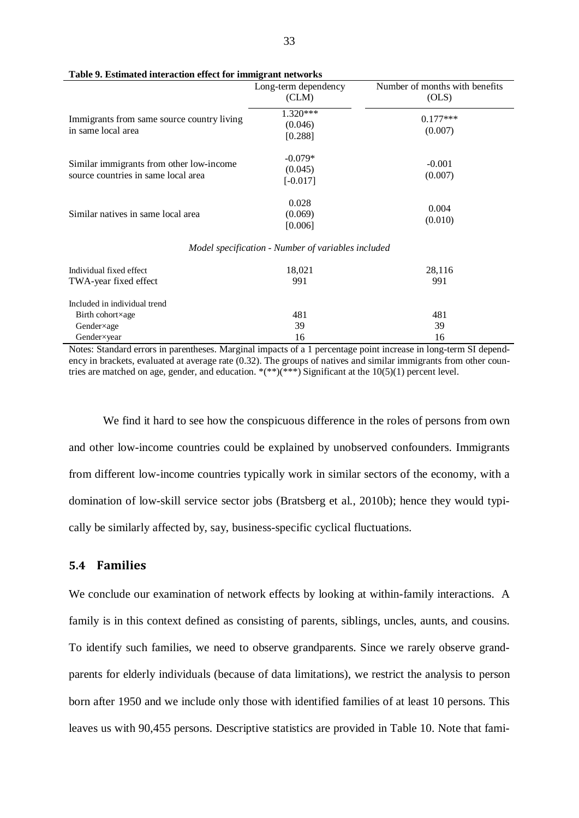|                                                                                 | Long-term dependency<br>(CLM)                      | Number of months with benefits<br>(OLS) |
|---------------------------------------------------------------------------------|----------------------------------------------------|-----------------------------------------|
| Immigrants from same source country living<br>in same local area                | $1.320***$<br>(0.046)<br>[0.288]                   | $0.177***$<br>(0.007)                   |
| Similar immigrants from other low-income<br>source countries in same local area | $-0.079*$<br>(0.045)<br>$[-0.017]$                 | $-0.001$<br>(0.007)                     |
| Similar natives in same local area                                              | 0.028<br>(0.069)<br>[0.006]                        | 0.004<br>(0.010)                        |
|                                                                                 | Model specification - Number of variables included |                                         |
| Individual fixed effect<br>TWA-year fixed effect                                | 18,021<br>991                                      | 28,116<br>991                           |
| Included in individual trend<br>Birth cohort×age<br>Gender×age                  | 481<br>39                                          | 481<br>39                               |
| Gender×year                                                                     | 16                                                 | 16                                      |

**Table 9. Estimated interaction effect for immigrant networks** 

Notes: Standard errors in parentheses. Marginal impacts of a 1 percentage point increase in long-term SI dependency in brackets, evaluated at average rate (0.32). The groups of natives and similar immigrants from other countries are matched on age, gender, and education.  $*(**)(***)$  Significant at the 10(5)(1) percent level.

We find it hard to see how the conspicuous difference in the roles of persons from own and other low-income countries could be explained by unobserved confounders. Immigrants from different low-income countries typically work in similar sectors of the economy, with a domination of low-skill service sector jobs (Bratsberg et al., 2010b); hence they would typically be similarly affected by, say, business-specific cyclical fluctuations.

# **5.4 Families**

We conclude our examination of network effects by looking at within-family interactions. A family is in this context defined as consisting of parents, siblings, uncles, aunts, and cousins. To identify such families, we need to observe grandparents. Since we rarely observe grandparents for elderly individuals (because of data limitations), we restrict the analysis to person born after 1950 and we include only those with identified families of at least 10 persons. This leaves us with 90,455 persons. Descriptive statistics are provided in Table 10. Note that fami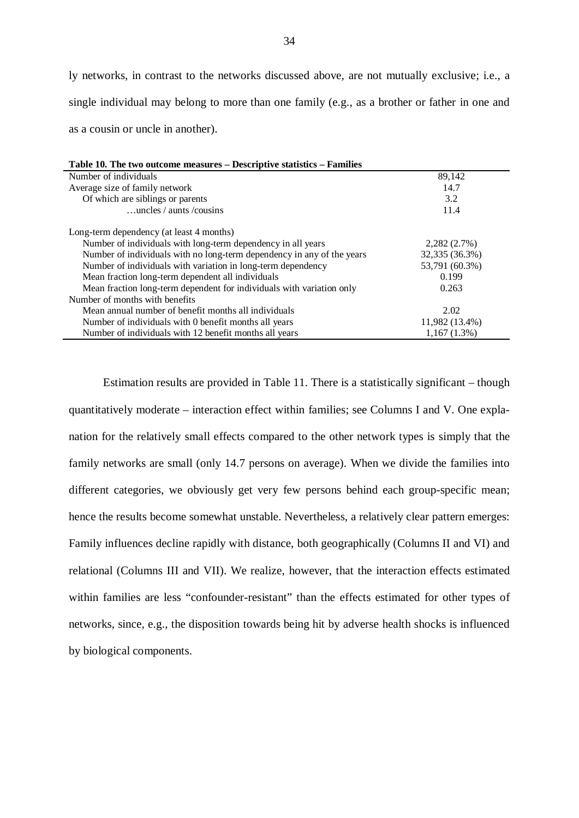ly networks, in contrast to the networks discussed above, are not mutually exclusive; i.e., a single individual may belong to more than one family (e.g., as a brother or father in one and as a cousin or uncle in another).

| Table 10. The two outcome measures – Descriptive statistics – Families |                |  |  |  |  |  |  |
|------------------------------------------------------------------------|----------------|--|--|--|--|--|--|
| Number of individuals                                                  | 89,142         |  |  |  |  |  |  |
| Average size of family network                                         | 14.7           |  |  |  |  |  |  |
| Of which are siblings or parents                                       | 3.2            |  |  |  |  |  |  |
| $\dots$ uncles / aunts / cousins                                       | 11.4           |  |  |  |  |  |  |
| Long-term dependency (at least 4 months)                               |                |  |  |  |  |  |  |
| Number of individuals with long-term dependency in all years           | 2,282(2.7%)    |  |  |  |  |  |  |
| Number of individuals with no long-term dependency in any of the years | 32,335 (36.3%) |  |  |  |  |  |  |
| Number of individuals with variation in long-term dependency           | 53,791 (60.3%) |  |  |  |  |  |  |
| Mean fraction long-term dependent all individuals                      | 0.199          |  |  |  |  |  |  |
| Mean fraction long-term dependent for individuals with variation only  | 0.263          |  |  |  |  |  |  |
| Number of months with benefits                                         |                |  |  |  |  |  |  |
| Mean annual number of benefit months all individuals                   | 2.02           |  |  |  |  |  |  |
| Number of individuals with 0 benefit months all years                  | 11,982 (13.4%) |  |  |  |  |  |  |
| Number of individuals with 12 benefit months all years                 | $1,167(1.3\%)$ |  |  |  |  |  |  |

Estimation results are provided in Table 11. There is a statistically significant – though quantitatively moderate – interaction effect within families; see Columns I and V. One explanation for the relatively small effects compared to the other network types is simply that the family networks are small (only 14.7 persons on average). When we divide the families into different categories, we obviously get very few persons behind each group-specific mean; hence the results become somewhat unstable. Nevertheless, a relatively clear pattern emerges: Family influences decline rapidly with distance, both geographically (Columns II and VI) and relational (Columns III and VII). We realize, however, that the interaction effects estimated within families are less "confounder-resistant" than the effects estimated for other types of networks, since, e.g., the disposition towards being hit by adverse health shocks is influenced by biological components.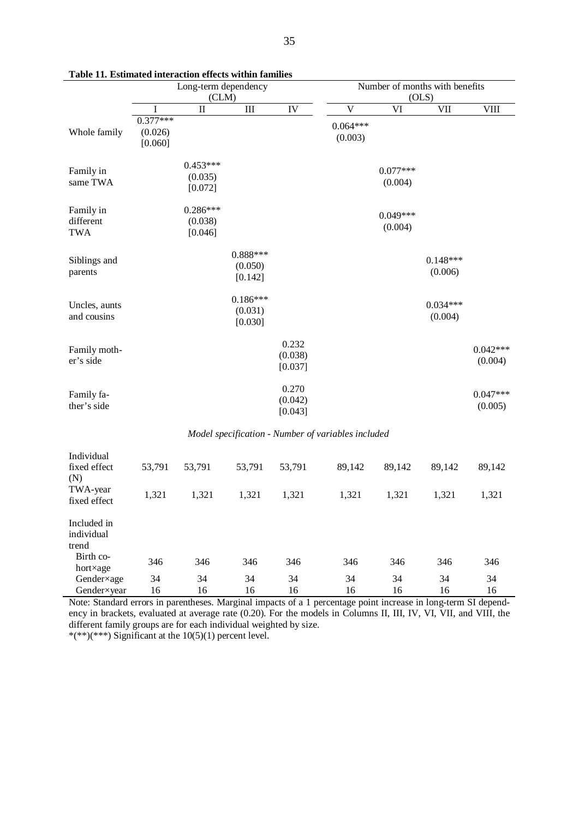|                                                    | I abie 11. Esumateu nitei activii enects within famines |                                  |                                  |                             |                                         |                       |                       |                       |  |
|----------------------------------------------------|---------------------------------------------------------|----------------------------------|----------------------------------|-----------------------------|-----------------------------------------|-----------------------|-----------------------|-----------------------|--|
|                                                    | Long-term dependency<br>(CLM)                           |                                  |                                  |                             | Number of months with benefits<br>(OLS) |                       |                       |                       |  |
|                                                    | I                                                       | $\mathbf{I}$                     | III                              | IV                          | $\overline{\mathsf{V}}$                 | VI                    | <b>VII</b>            | <b>VIII</b>           |  |
| Whole family                                       | $0.377***$<br>(0.026)<br>[0.060]                        |                                  |                                  |                             | $0.064***$<br>(0.003)                   |                       |                       |                       |  |
| Family in<br>same TWA                              |                                                         | $0.453***$<br>(0.035)<br>[0.072] |                                  |                             |                                         | $0.077***$<br>(0.004) |                       |                       |  |
| Family in<br>different<br><b>TWA</b>               |                                                         | $0.286***$<br>(0.038)<br>[0.046] |                                  |                             |                                         | $0.049***$<br>(0.004) |                       |                       |  |
| Siblings and<br>parents                            |                                                         |                                  | $0.888***$<br>(0.050)<br>[0.142] |                             |                                         |                       | $0.148***$<br>(0.006) |                       |  |
| Uncles, aunts<br>and cousins                       |                                                         |                                  | $0.186***$<br>(0.031)<br>[0.030] |                             |                                         |                       | $0.034***$<br>(0.004) |                       |  |
| Family moth-<br>er's side                          |                                                         |                                  |                                  | 0.232<br>(0.038)<br>[0.037] |                                         |                       |                       | $0.042***$<br>(0.004) |  |
| Family fa-<br>ther's side                          |                                                         |                                  |                                  | 0.270<br>(0.042)<br>[0.043] |                                         |                       |                       | $0.047***$<br>(0.005) |  |
| Model specification - Number of variables included |                                                         |                                  |                                  |                             |                                         |                       |                       |                       |  |
| Individual<br>fixed effect<br>(N)                  | 53,791                                                  | 53,791                           | 53,791                           | 53,791                      | 89,142                                  | 89,142                | 89,142                | 89,142                |  |
| TWA-year<br>fixed effect                           | 1,321                                                   | 1,321                            | 1,321                            | 1,321                       | 1,321                                   | 1,321                 | 1,321                 | 1,321                 |  |
| Included in<br>individual<br>trend                 |                                                         |                                  |                                  |                             |                                         |                       |                       |                       |  |
| Birth co-<br>hort×age                              | 346                                                     | 346                              | 346                              | 346                         | 346                                     | 346                   | 346                   | 346                   |  |
| Gender×age<br>Gender×year                          | 34<br>16                                                | 34<br>16                         | 34<br>16                         | 34<br>16                    | 34<br>16                                | 34<br>16              | 34<br>16              | 34<br>16              |  |

**Table 11. Estimated interaction effects within families**

Note: Standard errors in parentheses. Marginal impacts of a 1 percentage point increase in long-term SI dependency in brackets, evaluated at average rate (0.20). For the models in Columns II, III, IV, VI, VII, and VIII, the different family groups are for each individual weighted by size.

\*(\*\*)(\*\*\*) Significant at the  $10(5)(1)$  percent level.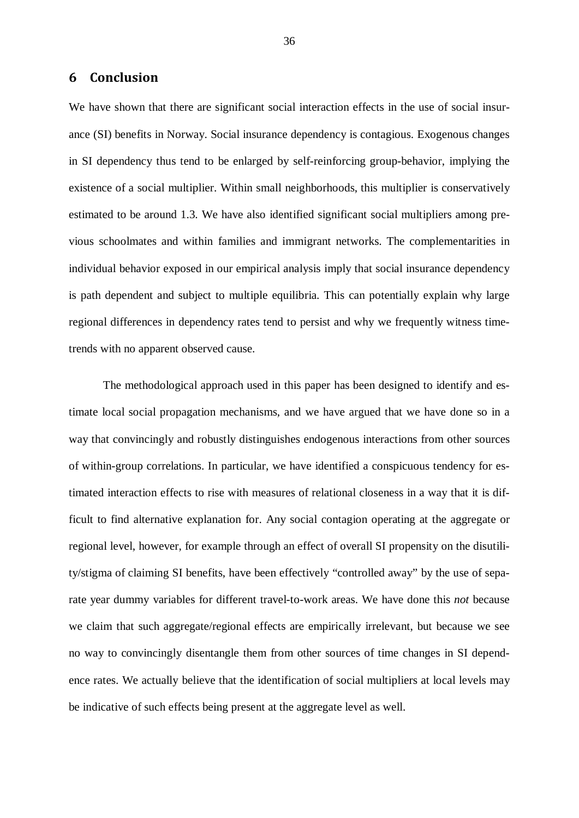# **6 Conclusion**

We have shown that there are significant social interaction effects in the use of social insurance (SI) benefits in Norway. Social insurance dependency is contagious. Exogenous changes in SI dependency thus tend to be enlarged by self-reinforcing group-behavior, implying the existence of a social multiplier. Within small neighborhoods, this multiplier is conservatively estimated to be around 1.3. We have also identified significant social multipliers among previous schoolmates and within families and immigrant networks. The complementarities in individual behavior exposed in our empirical analysis imply that social insurance dependency is path dependent and subject to multiple equilibria. This can potentially explain why large regional differences in dependency rates tend to persist and why we frequently witness timetrends with no apparent observed cause.

The methodological approach used in this paper has been designed to identify and estimate local social propagation mechanisms, and we have argued that we have done so in a way that convincingly and robustly distinguishes endogenous interactions from other sources of within-group correlations. In particular, we have identified a conspicuous tendency for estimated interaction effects to rise with measures of relational closeness in a way that it is difficult to find alternative explanation for. Any social contagion operating at the aggregate or regional level, however, for example through an effect of overall SI propensity on the disutility/stigma of claiming SI benefits, have been effectively "controlled away" by the use of separate year dummy variables for different travel-to-work areas. We have done this *not* because we claim that such aggregate/regional effects are empirically irrelevant, but because we see no way to convincingly disentangle them from other sources of time changes in SI dependence rates. We actually believe that the identification of social multipliers at local levels may be indicative of such effects being present at the aggregate level as well.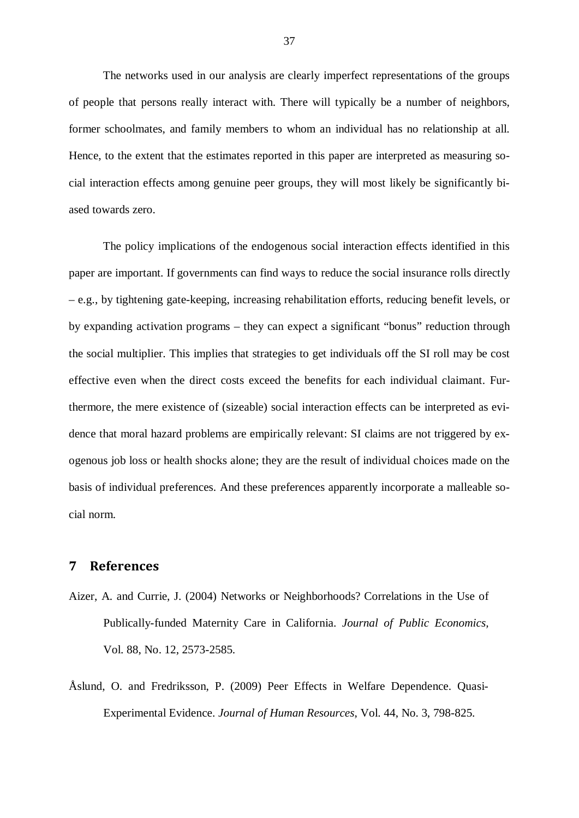The networks used in our analysis are clearly imperfect representations of the groups of people that persons really interact with. There will typically be a number of neighbors, former schoolmates, and family members to whom an individual has no relationship at all. Hence, to the extent that the estimates reported in this paper are interpreted as measuring social interaction effects among genuine peer groups, they will most likely be significantly biased towards zero.

The policy implications of the endogenous social interaction effects identified in this paper are important. If governments can find ways to reduce the social insurance rolls directly – e.g., by tightening gate-keeping, increasing rehabilitation efforts, reducing benefit levels, or by expanding activation programs – they can expect a significant "bonus" reduction through the social multiplier. This implies that strategies to get individuals off the SI roll may be cost effective even when the direct costs exceed the benefits for each individual claimant. Furthermore, the mere existence of (sizeable) social interaction effects can be interpreted as evidence that moral hazard problems are empirically relevant: SI claims are not triggered by exogenous job loss or health shocks alone; they are the result of individual choices made on the basis of individual preferences. And these preferences apparently incorporate a malleable social norm.

# **7 References**

- Aizer, A. and Currie, J. (2004) Networks or Neighborhoods? Correlations in the Use of Publically-funded Maternity Care in California. *Journal of Public Economics,*  Vol. 88, No. 12, 2573-2585.
- Åslund, O. and Fredriksson, P. (2009) Peer Effects in Welfare Dependence. Quasi-Experimental Evidence. *Journal of Human Resources*, Vol. 44, No. 3, 798-825.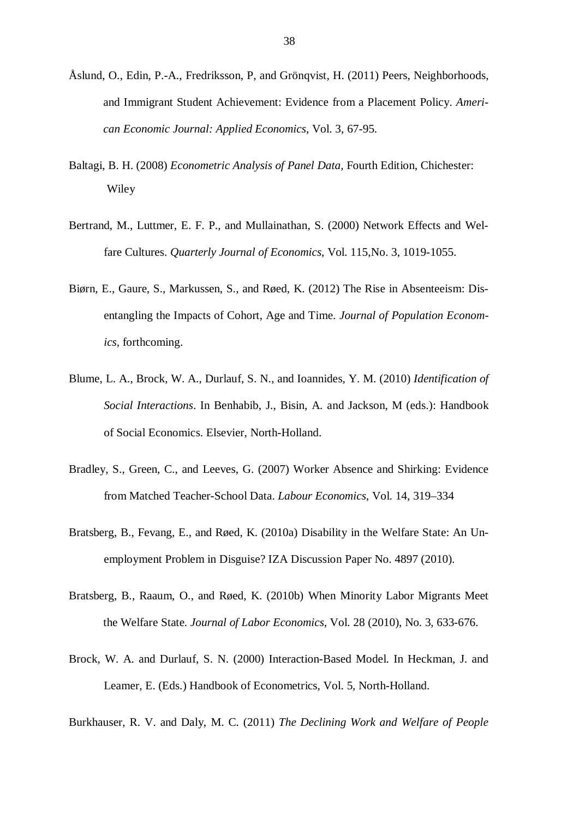- Åslund, O., Edin, P.-A., Fredriksson, P, and Grönqvist, H. (2011) Peers, Neighborhoods, and Immigrant Student Achievement: Evidence from a Placement Policy. *American Economic Journal: Applied Economics*, Vol. 3, 67-95.
- Baltagi, B. H. (2008) *Econometric Analysis of Panel Data,* Fourth Edition, Chichester: Wiley
- Bertrand, M., Luttmer, E. F. P., and Mullainathan, S. (2000) Network Effects and Welfare Cultures. *Quarterly Journal of Economics*, Vol. 115,No. 3, 1019-1055.
- Biørn, E., Gaure, S., Markussen, S., and Røed, K. (2012) The Rise in Absenteeism: Disentangling the Impacts of Cohort, Age and Time. *Journal of Population Economics,* forthcoming.
- Blume, L. A., Brock, W. A., Durlauf, S. N., and Ioannides, Y. M. (2010) *Identification of Social Interactions*. In Benhabib, J., Bisin, A. and Jackson, M (eds.): Handbook of Social Economics. Elsevier, North-Holland.
- Bradley, S., Green, C., and Leeves, G. (2007) Worker Absence and Shirking: Evidence from Matched Teacher-School Data. *Labour Economics*, Vol. 14, 319–334
- Bratsberg, B., Fevang, E., and Røed, K. (2010a) Disability in the Welfare State: An Unemployment Problem in Disguise? IZA Discussion Paper No. 4897 (2010).
- Bratsberg, B., Raaum, O., and Røed, K. (2010b) When Minority Labor Migrants Meet the Welfare State. *Journal of Labor Economics*, Vol. 28 (2010), No. 3, 633-676.
- Brock, W. A. and Durlauf, S. N. (2000) Interaction-Based Model. In Heckman, J. and Leamer, E. (Eds.) Handbook of Econometrics, Vol. 5, North-Holland.

Burkhauser, R. V. and Daly, M. C. (2011) *The Declining Work and Welfare of People*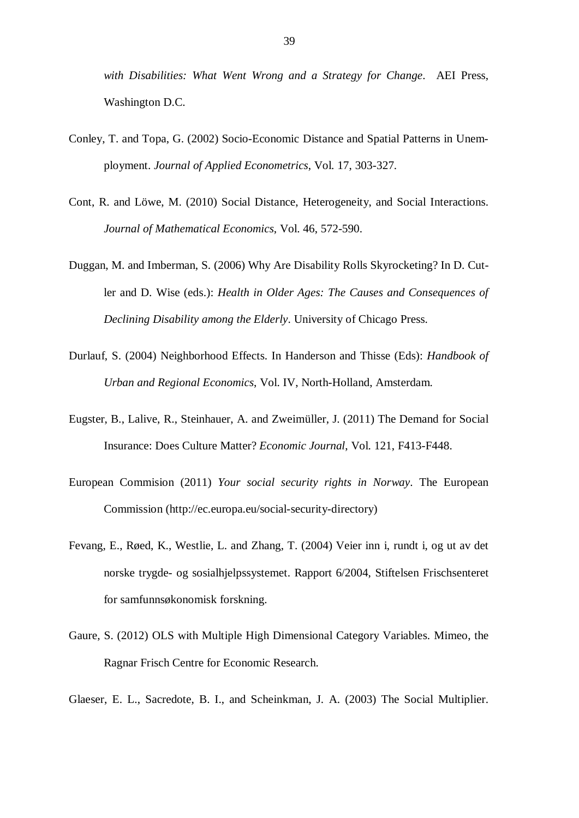*with Disabilities: What Went Wrong and a Strategy for Change*. AEI Press, Washington D.C.

- Conley, T. and Topa, G. (2002) Socio-Economic Distance and Spatial Patterns in Unemployment. *Journal of Applied Econometrics*, Vol. 17, 303-327.
- Cont, R. and Löwe, M. (2010) Social Distance, Heterogeneity, and Social Interactions. *Journal of Mathematical Economics*, Vol. 46, 572-590.
- Duggan, M. and Imberman, S. (2006) Why Are Disability Rolls Skyrocketing? In D. Cutler and D. Wise (eds.): *Health in Older Ages: The Causes and Consequences of Declining Disability among the Elderly*. University of Chicago Press.
- Durlauf, S. (2004) Neighborhood Effects. In Handerson and Thisse (Eds): *Handbook of Urban and Regional Economics*, Vol. IV, North-Holland, Amsterdam.
- Eugster, B., Lalive, R., Steinhauer, A. and Zweimüller, J. (2011) The Demand for Social Insurance: Does Culture Matter? *Economic Journal*, Vol. 121, F413-F448.
- European Commision (2011) *Your social security rights in Norway*. The European Commission (http://ec.europa.eu/social-security-directory)
- Fevang, E., Røed, K., Westlie, L. and Zhang, T. (2004) Veier inn i, rundt i, og ut av det norske trygde- og sosialhjelpssystemet. Rapport 6/2004, Stiftelsen Frischsenteret for samfunnsøkonomisk forskning.
- Gaure, S. (2012) OLS with Multiple High Dimensional Category Variables. Mimeo, the Ragnar Frisch Centre for Economic Research.
- Glaeser, E. L., Sacredote, B. I., and Scheinkman, J. A. (2003) The Social Multiplier.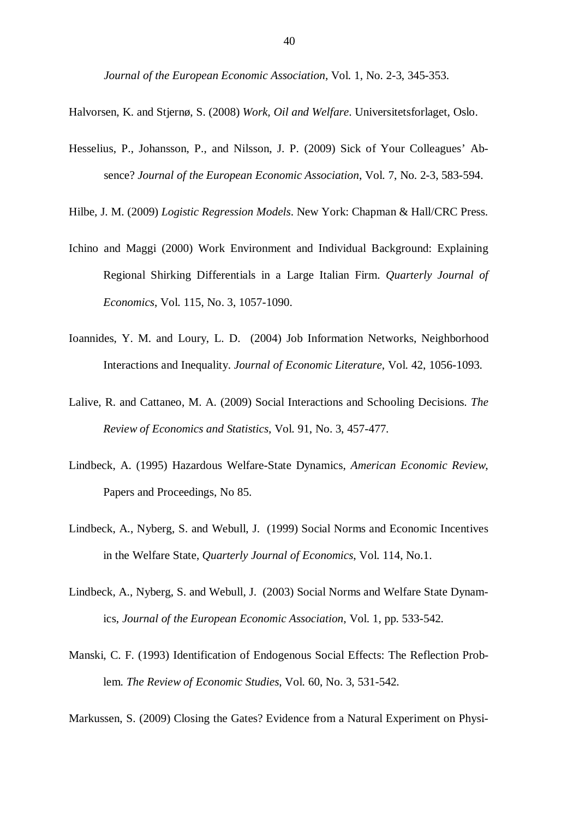*Journal of the European Economic Association*, Vol. 1, No. 2-3, 345-353.

Halvorsen, K. and Stjernø, S. (2008) *Work, Oil and Welfare*. Universitetsforlaget, Oslo.

Hesselius, P., Johansson, P., and Nilsson, J. P. (2009) Sick of Your Colleagues' Absence? *Journal of the European Economic Association*, Vol. 7, No. 2-3, 583-594.

Hilbe, J. M. (2009) *Logistic Regression Models*. New York: Chapman & Hall/CRC Press.

- Ichino and Maggi (2000) Work Environment and Individual Background: Explaining Regional Shirking Differentials in a Large Italian Firm. *Quarterly Journal of Economics*, Vol. 115, No. 3, 1057-1090.
- Ioannides, Y. M. and Loury, L. D. (2004) Job Information Networks, Neighborhood Interactions and Inequality. *Journal of Economic Literature*, Vol. 42, 1056-1093.
- Lalive, R. and Cattaneo, M. A. (2009) Social Interactions and Schooling Decisions. *The Review of Economics and Statistics*, Vol. 91, No. 3, 457-477.
- Lindbeck, A. (1995) Hazardous Welfare-State Dynamics, *American Economic Review*, Papers and Proceedings, No 85.
- Lindbeck, A., Nyberg, S. and Webull, J. (1999) Social Norms and Economic Incentives in the Welfare State, *Quarterly Journal of Economics*, Vol. 114, No.1.
- Lindbeck, A., Nyberg, S. and Webull, J. (2003) Social Norms and Welfare State Dynamics, *Journal of the European Economic Association*, Vol. 1, pp. 533-542.
- Manski, C. F. (1993) Identification of Endogenous Social Effects: The Reflection Problem. *The Review of Economic Studies*, Vol. 60, No. 3, 531-542.

Markussen, S. (2009) Closing the Gates? Evidence from a Natural Experiment on Physi-